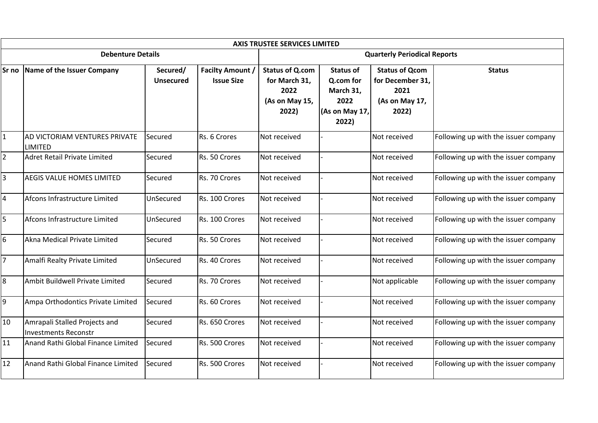|                |                                                              |                       |                                              | <b>AXIS TRUSTEE SERVICES LIMITED</b>                                       |                                                                               |                                                                              |                                      |  |
|----------------|--------------------------------------------------------------|-----------------------|----------------------------------------------|----------------------------------------------------------------------------|-------------------------------------------------------------------------------|------------------------------------------------------------------------------|--------------------------------------|--|
|                | <b>Debenture Details</b>                                     |                       |                                              | <b>Quarterly Periodical Reports</b>                                        |                                                                               |                                                                              |                                      |  |
| Sr no          | Name of the Issuer Company                                   | Secured/<br>Unsecured | <b>Facilty Amount /</b><br><b>Issue Size</b> | <b>Status of Q.com</b><br>for March 31,<br>2022<br>(As on May 15,<br>2022) | <b>Status of</b><br>Q.com for<br>March 31,<br>2022<br>(As on May 17,<br>2022) | <b>Status of Qcom</b><br>for December 31,<br>2021<br>(As on May 17,<br>2022) | <b>Status</b>                        |  |
| $\mathbf{1}$   | AD VICTORIAM VENTURES PRIVATE<br><b>LIMITED</b>              | Secured               | Rs. 6 Crores                                 | Not received                                                               |                                                                               | Not received                                                                 | Following up with the issuer company |  |
| $\overline{2}$ | Adret Retail Private Limited                                 | Secured               | Rs. 50 Crores                                | Not received                                                               |                                                                               | Not received                                                                 | Following up with the issuer company |  |
| $\overline{3}$ | <b>AEGIS VALUE HOMES LIMITED</b>                             | Secured               | Rs. 70 Crores                                | Not received                                                               |                                                                               | Not received                                                                 | Following up with the issuer company |  |
| 4              | Afcons Infrastructure Limited                                | UnSecured             | Rs. 100 Crores                               | Not received                                                               |                                                                               | Not received                                                                 | Following up with the issuer company |  |
| 5              | Afcons Infrastructure Limited                                | UnSecured             | Rs. 100 Crores                               | Not received                                                               |                                                                               | Not received                                                                 | Following up with the issuer company |  |
| 6              | Akna Medical Private Limited                                 | Secured               | Rs. 50 Crores                                | Not received                                                               |                                                                               | Not received                                                                 | Following up with the issuer company |  |
| $\overline{7}$ | Amalfi Realty Private Limited                                | UnSecured             | Rs. 40 Crores                                | Not received                                                               |                                                                               | Not received                                                                 | Following up with the issuer company |  |
| 8              | Ambit Buildwell Private Limited                              | Secured               | Rs. 70 Crores                                | Not received                                                               |                                                                               | Not applicable                                                               | Following up with the issuer company |  |
| 9              | Ampa Orthodontics Private Limited                            | Secured               | Rs. 60 Crores                                | Not received                                                               |                                                                               | Not received                                                                 | Following up with the issuer company |  |
| 10             | Amrapali Stalled Projects and<br><b>Investments Reconstr</b> | Secured               | Rs. 650 Crores                               | Not received                                                               |                                                                               | Not received                                                                 | Following up with the issuer company |  |
| 11             | Anand Rathi Global Finance Limited                           | Secured               | Rs. 500 Crores                               | Not received                                                               |                                                                               | Not received                                                                 | Following up with the issuer company |  |
| 12             | Anand Rathi Global Finance Limited                           | Secured               | Rs. 500 Crores                               | Not received                                                               |                                                                               | Not received                                                                 | Following up with the issuer company |  |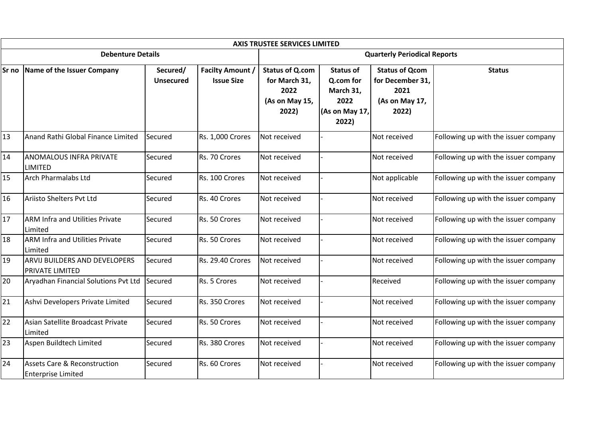|       |                                                                |                              |                                              | <b>AXIS TRUSTEE SERVICES LIMITED</b>                                       |                                                                               |                                                                              |                                      |  |
|-------|----------------------------------------------------------------|------------------------------|----------------------------------------------|----------------------------------------------------------------------------|-------------------------------------------------------------------------------|------------------------------------------------------------------------------|--------------------------------------|--|
|       | <b>Debenture Details</b>                                       |                              |                                              | <b>Quarterly Periodical Reports</b>                                        |                                                                               |                                                                              |                                      |  |
| Sr no | Name of the Issuer Company                                     | Secured/<br><b>Unsecured</b> | <b>Facilty Amount /</b><br><b>Issue Size</b> | <b>Status of Q.com</b><br>for March 31,<br>2022<br>(As on May 15,<br>2022) | <b>Status of</b><br>Q.com for<br>March 31,<br>2022<br>(As on May 17,<br>2022) | <b>Status of Qcom</b><br>for December 31,<br>2021<br>(As on May 17,<br>2022) | <b>Status</b>                        |  |
| 13    | Anand Rathi Global Finance Limited                             | Secured                      | Rs. 1,000 Crores                             | Not received                                                               |                                                                               | Not received                                                                 | Following up with the issuer company |  |
| 14    | <b>ANOMALOUS INFRA PRIVATE</b><br><b>LIMITED</b>               | Secured                      | Rs. 70 Crores                                | Not received                                                               |                                                                               | Not received                                                                 | Following up with the issuer company |  |
| 15    | Arch Pharmalabs Ltd                                            | Secured                      | Rs. 100 Crores                               | Not received                                                               |                                                                               | Not applicable                                                               | Following up with the issuer company |  |
| 16    | Ariisto Shelters Pvt Ltd                                       | Secured                      | Rs. 40 Crores                                | Not received                                                               |                                                                               | Not received                                                                 | Following up with the issuer company |  |
| 17    | <b>ARM Infra and Utilities Private</b><br>Limited              | Secured                      | Rs. 50 Crores                                | Not received                                                               |                                                                               | Not received                                                                 | Following up with the issuer company |  |
| 18    | <b>ARM Infra and Utilities Private</b><br><b>Limited</b>       | Secured                      | Rs. 50 Crores                                | Not received                                                               |                                                                               | Not received                                                                 | Following up with the issuer company |  |
| 19    | <b>ARVIJ BUILDERS AND DEVELOPERS</b><br><b>PRIVATE LIMITED</b> | Secured                      | Rs. 29.40 Crores                             | Not received                                                               |                                                                               | Not received                                                                 | Following up with the issuer company |  |
| 20    | Aryadhan Financial Solutions Pvt Ltd                           | Secured                      | Rs. 5 Crores                                 | Not received                                                               |                                                                               | Received                                                                     | Following up with the issuer company |  |
| 21    | Ashvi Developers Private Limited                               | Secured                      | Rs. 350 Crores                               | Not received                                                               |                                                                               | Not received                                                                 | Following up with the issuer company |  |
| 22    | Asian Satellite Broadcast Private<br>Limited                   | Secured                      | Rs. 50 Crores                                | Not received                                                               |                                                                               | Not received                                                                 | Following up with the issuer company |  |
| 23    | Aspen Buildtech Limited                                        | Secured                      | Rs. 380 Crores                               | Not received                                                               |                                                                               | Not received                                                                 | Following up with the issuer company |  |
| 24    | Assets Care & Reconstruction<br><b>Enterprise Limited</b>      | Secured                      | Rs. 60 Crores                                | Not received                                                               |                                                                               | Not received                                                                 | Following up with the issuer company |  |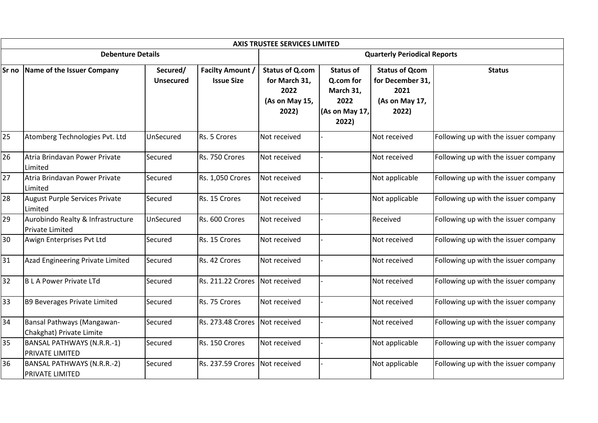|    |                                                             |                              |                                              | <b>AXIS TRUSTEE SERVICES LIMITED</b>                                       |                                                                               |                                                                              |                                      |  |
|----|-------------------------------------------------------------|------------------------------|----------------------------------------------|----------------------------------------------------------------------------|-------------------------------------------------------------------------------|------------------------------------------------------------------------------|--------------------------------------|--|
|    | <b>Debenture Details</b>                                    |                              |                                              | <b>Quarterly Periodical Reports</b>                                        |                                                                               |                                                                              |                                      |  |
|    | Sr no Name of the Issuer Company                            | Secured/<br><b>Unsecured</b> | <b>Facilty Amount /</b><br><b>Issue Size</b> | <b>Status of Q.com</b><br>for March 31,<br>2022<br>(As on May 15,<br>2022) | <b>Status of</b><br>Q.com for<br>March 31,<br>2022<br>(As on May 17,<br>2022) | <b>Status of Qcom</b><br>for December 31,<br>2021<br>(As on May 17,<br>2022) | <b>Status</b>                        |  |
| 25 | Atomberg Technologies Pvt. Ltd                              | UnSecured                    | Rs. 5 Crores                                 | Not received                                                               |                                                                               | Not received                                                                 | Following up with the issuer company |  |
| 26 | Atria Brindavan Power Private<br>Limited                    | Secured                      | Rs. 750 Crores                               | Not received                                                               |                                                                               | Not received                                                                 | Following up with the issuer company |  |
| 27 | Atria Brindavan Power Private<br>Limited                    | Secured                      | Rs. 1,050 Crores                             | Not received                                                               |                                                                               | Not applicable                                                               | Following up with the issuer company |  |
| 28 | August Purple Services Private<br><b>Limited</b>            | Secured                      | Rs. 15 Crores                                | Not received                                                               |                                                                               | Not applicable                                                               | Following up with the issuer company |  |
| 29 | Aurobindo Realty & Infrastructure<br>Private Limited        | UnSecured                    | Rs. 600 Crores                               | Not received                                                               |                                                                               | Received                                                                     | Following up with the issuer company |  |
| 30 | Awign Enterprises Pvt Ltd                                   | Secured                      | Rs. 15 Crores                                | Not received                                                               |                                                                               | Not received                                                                 | Following up with the issuer company |  |
| 31 | Azad Engineering Private Limited                            | Secured                      | Rs. 42 Crores                                | Not received                                                               |                                                                               | Not received                                                                 | Following up with the issuer company |  |
| 32 | B L A Power Private LTd                                     | Secured                      | <b>Rs. 211.22 Crores</b>                     | Not received                                                               |                                                                               | Not received                                                                 | Following up with the issuer company |  |
| 33 | B9 Beverages Private Limited                                | Secured                      | Rs. 75 Crores                                | Not received                                                               |                                                                               | Not received                                                                 | Following up with the issuer company |  |
| 34 | Bansal Pathways (Mangawan-<br>Chakghat) Private Limite      | Secured                      | <b>Rs. 273.48 Crores</b>                     | Not received                                                               |                                                                               | Not received                                                                 | Following up with the issuer company |  |
| 35 | BANSAL PATHWAYS (N.R.R.-1)<br><b>PRIVATE LIMITED</b>        | Secured                      | Rs. 150 Crores                               | Not received                                                               |                                                                               | Not applicable                                                               | Following up with the issuer company |  |
| 36 | <b>BANSAL PATHWAYS (N.R.R.-2)</b><br><b>PRIVATE LIMITED</b> | Secured                      | <b>Rs. 237.59 Crores</b>                     | Not received                                                               |                                                                               | Not applicable                                                               | Following up with the issuer company |  |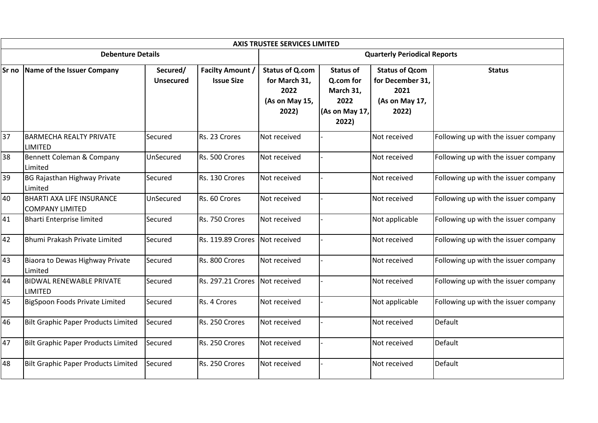|                 |                                                            |                              |                                              | <b>AXIS TRUSTEE SERVICES LIMITED</b>                                       |                                                                               |                                                                              |                                      |  |
|-----------------|------------------------------------------------------------|------------------------------|----------------------------------------------|----------------------------------------------------------------------------|-------------------------------------------------------------------------------|------------------------------------------------------------------------------|--------------------------------------|--|
|                 | <b>Debenture Details</b>                                   |                              |                                              | <b>Quarterly Periodical Reports</b>                                        |                                                                               |                                                                              |                                      |  |
|                 | Sr no Name of the Issuer Company                           | Secured/<br><b>Unsecured</b> | <b>Facilty Amount /</b><br><b>Issue Size</b> | <b>Status of Q.com</b><br>for March 31,<br>2022<br>(As on May 15,<br>2022) | <b>Status of</b><br>Q.com for<br>March 31,<br>2022<br>(As on May 17,<br>2022) | <b>Status of Qcom</b><br>for December 31,<br>2021<br>(As on May 17,<br>2022) | <b>Status</b>                        |  |
| $\overline{37}$ | <b>BARMECHA REALTY PRIVATE</b><br>LIMITED                  | Secured                      | Rs. 23 Crores                                | Not received                                                               |                                                                               | Not received                                                                 | Following up with the issuer company |  |
| 38              | Bennett Coleman & Company<br>Limited                       | UnSecured                    | Rs. 500 Crores                               | Not received                                                               |                                                                               | Not received                                                                 | Following up with the issuer company |  |
| 39              | <b>BG Rajasthan Highway Private</b><br>Limited             | Secured                      | Rs. 130 Crores                               | Not received                                                               |                                                                               | Not received                                                                 | Following up with the issuer company |  |
| 40              | <b>BHARTI AXA LIFE INSURANCE</b><br><b>COMPANY LIMITED</b> | UnSecured                    | Rs. 60 Crores                                | Not received                                                               |                                                                               | Not received                                                                 | Following up with the issuer company |  |
| 41              | <b>Bharti Enterprise limited</b>                           | Secured                      | Rs. 750 Crores                               | Not received                                                               |                                                                               | Not applicable                                                               | Following up with the issuer company |  |
| 42              | Bhumi Prakash Private Limited                              | Secured                      | <b>Rs. 119.89 Crores</b>                     | Not received                                                               |                                                                               | Not received                                                                 | Following up with the issuer company |  |
| 43              | Biaora to Dewas Highway Private<br>Limited                 | Secured                      | Rs. 800 Crores                               | Not received                                                               |                                                                               | Not received                                                                 | Following up with the issuer company |  |
| 44              | <b>BIDWAL RENEWABLE PRIVATE</b><br><b>LIMITED</b>          | Secured                      | <b>Rs. 297.21 Crores</b>                     | Not received                                                               |                                                                               | Not received                                                                 | Following up with the issuer company |  |
| 45              | BigSpoon Foods Private Limited                             | Secured                      | Rs. 4 Crores                                 | Not received                                                               |                                                                               | Not applicable                                                               | Following up with the issuer company |  |
| 46              | <b>Bilt Graphic Paper Products Limited</b>                 | Secured                      | Rs. 250 Crores                               | Not received                                                               |                                                                               | Not received                                                                 | Default                              |  |
| 47              | <b>Bilt Graphic Paper Products Limited</b>                 | Secured                      | Rs. 250 Crores                               | Not received                                                               |                                                                               | Not received                                                                 | Default                              |  |
| 48              | <b>Bilt Graphic Paper Products Limited</b>                 | Secured                      | Rs. 250 Crores                               | Not received                                                               |                                                                               | Not received                                                                 | Default                              |  |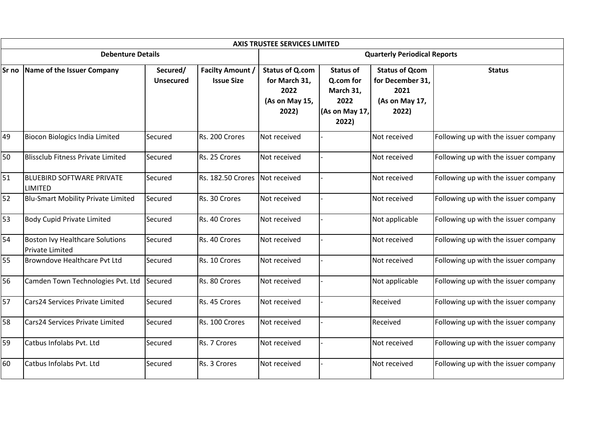|    |                                                    |                              |                                              | <b>AXIS TRUSTEE SERVICES LIMITED</b>                                       |                                                                               |                                                                              |                                      |  |
|----|----------------------------------------------------|------------------------------|----------------------------------------------|----------------------------------------------------------------------------|-------------------------------------------------------------------------------|------------------------------------------------------------------------------|--------------------------------------|--|
|    | <b>Debenture Details</b>                           |                              |                                              | <b>Quarterly Periodical Reports</b>                                        |                                                                               |                                                                              |                                      |  |
|    | Sr no Name of the Issuer Company                   | Secured/<br><b>Unsecured</b> | <b>Facilty Amount /</b><br><b>Issue Size</b> | <b>Status of Q.com</b><br>for March 31,<br>2022<br>(As on May 15,<br>2022) | <b>Status of</b><br>Q.com for<br>March 31,<br>2022<br>(As on May 17,<br>2022) | <b>Status of Qcom</b><br>for December 31,<br>2021<br>(As on May 17,<br>2022) | <b>Status</b>                        |  |
| 49 | Biocon Biologics India Limited                     | Secured                      | Rs. 200 Crores                               | Not received                                                               |                                                                               | Not received                                                                 | Following up with the issuer company |  |
| 50 | <b>Blissclub Fitness Private Limited</b>           | Secured                      | Rs. 25 Crores                                | Not received                                                               |                                                                               | Not received                                                                 | Following up with the issuer company |  |
| 51 | <b>BLUEBIRD SOFTWARE PRIVATE</b><br><b>LIMITED</b> | Secured                      | Rs. 182.50 Crores                            | Not received                                                               |                                                                               | Not received                                                                 | Following up with the issuer company |  |
| 52 | <b>Blu-Smart Mobility Private Limited</b>          | Secured                      | Rs. 30 Crores                                | Not received                                                               |                                                                               | Not received                                                                 | Following up with the issuer company |  |
| 53 | <b>Body Cupid Private Limited</b>                  | Secured                      | Rs. 40 Crores                                | Not received                                                               |                                                                               | Not applicable                                                               | Following up with the issuer company |  |
| 54 | Boston Ivy Healthcare Solutions<br>Private Limited | Secured                      | Rs. 40 Crores                                | Not received                                                               |                                                                               | Not received                                                                 | Following up with the issuer company |  |
| 55 | Browndove Healthcare Pvt Ltd                       | Secured                      | Rs. 10 Crores                                | Not received                                                               |                                                                               | Not received                                                                 | Following up with the issuer company |  |
| 56 | Camden Town Technologies Pvt. Ltd                  | Secured                      | Rs. 80 Crores                                | Not received                                                               |                                                                               | Not applicable                                                               | Following up with the issuer company |  |
| 57 | Cars24 Services Private Limited                    | Secured                      | Rs. 45 Crores                                | Not received                                                               |                                                                               | Received                                                                     | Following up with the issuer company |  |
| 58 | Cars24 Services Private Limited                    | Secured                      | Rs. 100 Crores                               | Not received                                                               |                                                                               | Received                                                                     | Following up with the issuer company |  |
| 59 | Catbus Infolabs Pvt. Ltd                           | Secured                      | Rs. 7 Crores                                 | Not received                                                               |                                                                               | Not received                                                                 | Following up with the issuer company |  |
| 60 | Catbus Infolabs Pyt. Ltd                           | Secured                      | Rs. 3 Crores                                 | Not received                                                               |                                                                               | Not received                                                                 | Following up with the issuer company |  |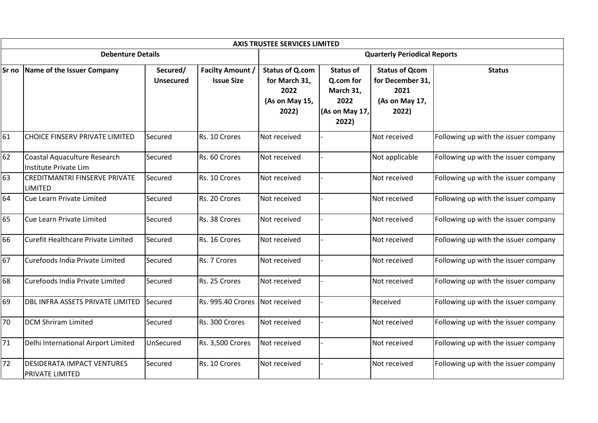|       |                                                       |                              |                                              | <b>AXIS TRUSTEE SERVICES LIMITED</b>                                       |                                                                               |                                                                              |                                      |  |
|-------|-------------------------------------------------------|------------------------------|----------------------------------------------|----------------------------------------------------------------------------|-------------------------------------------------------------------------------|------------------------------------------------------------------------------|--------------------------------------|--|
|       | <b>Debenture Details</b>                              |                              |                                              | <b>Quarterly Periodical Reports</b>                                        |                                                                               |                                                                              |                                      |  |
| Sr no | Name of the Issuer Company                            | Secured/<br><b>Unsecured</b> | <b>Facilty Amount /</b><br><b>Issue Size</b> | <b>Status of Q.com</b><br>for March 31,<br>2022<br>(As on May 15,<br>2022) | <b>Status of</b><br>Q.com for<br>March 31,<br>2022<br>(As on May 17,<br>2022) | <b>Status of Qcom</b><br>for December 31,<br>2021<br>(As on May 17,<br>2022) | <b>Status</b>                        |  |
| 61    | CHOICE FINSERV PRIVATE LIMITED                        | Secured                      | Rs. 10 Crores                                | Not received                                                               |                                                                               | Not received                                                                 | Following up with the issuer company |  |
| 62    | Coastal Aquaculture Research<br>Institute Private Lim | Secured                      | Rs. 60 Crores                                | Not received                                                               |                                                                               | Not applicable                                                               | Following up with the issuer company |  |
| 63    | <b>CREDITMANTRI FINSERVE PRIVATE</b><br>LIMITED       | Secured                      | Rs. 10 Crores                                | Not received                                                               |                                                                               | Not received                                                                 | Following up with the issuer company |  |
| 64    | Cue Learn Private Limited                             | Secured                      | Rs. 20 Crores                                | Not received                                                               |                                                                               | Not received                                                                 | Following up with the issuer company |  |
| 65    | Cue Learn Private Limited                             | Secured                      | Rs. 38 Crores                                | Not received                                                               |                                                                               | Not received                                                                 | Following up with the issuer company |  |
| 66    | Curefit Healthcare Private Limited                    | Secured                      | Rs. 16 Crores                                | Not received                                                               |                                                                               | Not received                                                                 | Following up with the issuer company |  |
| 67    | Curefoods India Private Limited                       | Secured                      | Rs. 7 Crores                                 | Not received                                                               |                                                                               | Not received                                                                 | Following up with the issuer company |  |
| 68    | Curefoods India Private Limited                       | Secured                      | Rs. 25 Crores                                | Not received                                                               |                                                                               | Not received                                                                 | Following up with the issuer company |  |
| 69    | DBL INFRA ASSETS PRIVATE LIMITED                      | Secured                      | Rs. 995.40 Crores                            | Not received                                                               |                                                                               | Received                                                                     | Following up with the issuer company |  |
| 70    | <b>DCM Shriram Limited</b>                            | Secured                      | Rs. 300 Crores                               | Not received                                                               |                                                                               | Not received                                                                 | Following up with the issuer company |  |
| 71    | Delhi International Airport Limited                   | UnSecured                    | Rs. 3,500 Crores                             | Not received                                                               |                                                                               | Not received                                                                 | Following up with the issuer company |  |
| 72    | <b>DESIDERATA IMPACT VENTURES</b><br>PRIVATE LIMITED  | Secured                      | Rs. 10 Crores                                | Not received                                                               |                                                                               | Not received                                                                 | Following up with the issuer company |  |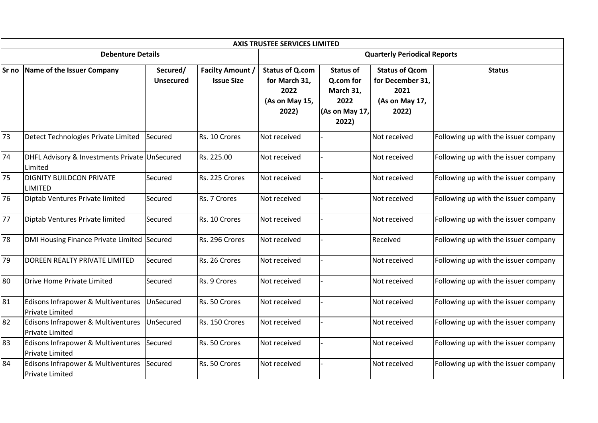|       |                                                              |                              |                                              | <b>AXIS TRUSTEE SERVICES LIMITED</b>                                       |                                                                               |                                                                              |                                      |  |
|-------|--------------------------------------------------------------|------------------------------|----------------------------------------------|----------------------------------------------------------------------------|-------------------------------------------------------------------------------|------------------------------------------------------------------------------|--------------------------------------|--|
|       | <b>Debenture Details</b>                                     |                              |                                              | <b>Quarterly Periodical Reports</b>                                        |                                                                               |                                                                              |                                      |  |
| Sr no | Name of the Issuer Company                                   | Secured/<br><b>Unsecured</b> | <b>Facilty Amount /</b><br><b>Issue Size</b> | <b>Status of Q.com</b><br>for March 31,<br>2022<br>(As on May 15,<br>2022) | <b>Status of</b><br>Q.com for<br>March 31,<br>2022<br>(As on May 17,<br>2022) | <b>Status of Qcom</b><br>for December 31,<br>2021<br>(As on May 17,<br>2022) | <b>Status</b>                        |  |
| 73    | Detect Technologies Private Limited                          | Secured                      | Rs. 10 Crores                                | Not received                                                               |                                                                               | Not received                                                                 | Following up with the issuer company |  |
| 74    | DHFL Advisory & Investments Private UnSecured<br>Limited     |                              | Rs. 225.00                                   | Not received                                                               |                                                                               | Not received                                                                 | Following up with the issuer company |  |
| 75    | <b>DIGNITY BUILDCON PRIVATE</b><br>LIMITED                   | Secured                      | Rs. 225 Crores                               | Not received                                                               |                                                                               | Not received                                                                 | Following up with the issuer company |  |
| 76    | Diptab Ventures Private limited                              | Secured                      | Rs. 7 Crores                                 | Not received                                                               |                                                                               | Not received                                                                 | Following up with the issuer company |  |
| 77    | Diptab Ventures Private limited                              | Secured                      | Rs. 10 Crores                                | Not received                                                               |                                                                               | Not received                                                                 | Following up with the issuer company |  |
| 78    | DMI Housing Finance Private Limited                          | Secured                      | Rs. 296 Crores                               | Not received                                                               |                                                                               | Received                                                                     | Following up with the issuer company |  |
| 79    | DOREEN REALTY PRIVATE LIMITED                                | Secured                      | Rs. 26 Crores                                | Not received                                                               |                                                                               | Not received                                                                 | Following up with the issuer company |  |
| 80    | Drive Home Private Limited                                   | Secured                      | Rs. 9 Crores                                 | Not received                                                               |                                                                               | Not received                                                                 | Following up with the issuer company |  |
| 81    | Edisons Infrapower & Multiventures<br><b>Private Limited</b> | UnSecured                    | Rs. 50 Crores                                | Not received                                                               |                                                                               | Not received                                                                 | Following up with the issuer company |  |
| 82    | Edisons Infrapower & Multiventures<br><b>Private Limited</b> | UnSecured                    | Rs. 150 Crores                               | Not received                                                               |                                                                               | Not received                                                                 | Following up with the issuer company |  |
| 83    | Edisons Infrapower & Multiventures<br><b>Private Limited</b> | Secured                      | Rs. 50 Crores                                | Not received                                                               |                                                                               | Not received                                                                 | Following up with the issuer company |  |
| 84    | Edisons Infrapower & Multiventures<br><b>Private Limited</b> | Secured                      | Rs. 50 Crores                                | Not received                                                               |                                                                               | Not received                                                                 | Following up with the issuer company |  |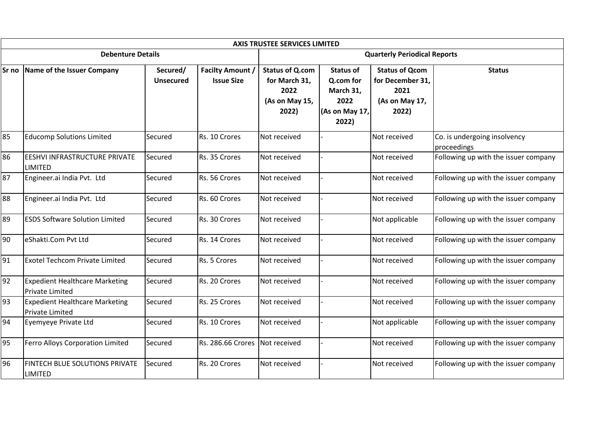|    |                                                          |                              |                                              |                                                                            | <b>AXIS TRUSTEE SERVICES LIMITED</b>                                          |                                                                              |                                             |  |  |
|----|----------------------------------------------------------|------------------------------|----------------------------------------------|----------------------------------------------------------------------------|-------------------------------------------------------------------------------|------------------------------------------------------------------------------|---------------------------------------------|--|--|
|    | <b>Debenture Details</b>                                 |                              |                                              | <b>Quarterly Periodical Reports</b>                                        |                                                                               |                                                                              |                                             |  |  |
|    | Sr no Name of the Issuer Company                         | Secured/<br><b>Unsecured</b> | <b>Facilty Amount /</b><br><b>Issue Size</b> | <b>Status of Q.com</b><br>for March 31,<br>2022<br>(As on May 15,<br>2022) | <b>Status of</b><br>Q.com for<br>March 31,<br>2022<br>(As on May 17,<br>2022) | <b>Status of Qcom</b><br>for December 31,<br>2021<br>(As on May 17,<br>2022) | <b>Status</b>                               |  |  |
| 85 | <b>Educomp Solutions Limited</b>                         | Secured                      | Rs. 10 Crores                                | Not received                                                               |                                                                               | Not received                                                                 | Co. is undergoing insolvency<br>proceedings |  |  |
| 86 | EESHVI INFRASTRUCTURE PRIVATE<br><b>LIMITED</b>          | Secured                      | Rs. 35 Crores                                | Not received                                                               |                                                                               | Not received                                                                 | Following up with the issuer company        |  |  |
| 87 | Engineer.ai India Pvt. Ltd                               | Secured                      | Rs. 56 Crores                                | Not received                                                               |                                                                               | Not received                                                                 | Following up with the issuer company        |  |  |
| 88 | Engineer.ai India Pvt. Ltd                               | Secured                      | Rs. 60 Crores                                | Not received                                                               |                                                                               | Not received                                                                 | Following up with the issuer company        |  |  |
| 89 | <b>ESDS Software Solution Limited</b>                    | Secured                      | Rs. 30 Crores                                | Not received                                                               |                                                                               | Not applicable                                                               | Following up with the issuer company        |  |  |
| 90 | eShakti.Com Pvt Ltd                                      | Secured                      | Rs. 14 Crores                                | Not received                                                               |                                                                               | Not received                                                                 | Following up with the issuer company        |  |  |
| 91 | <b>Exotel Techcom Private Limited</b>                    | Secured                      | Rs. 5 Crores                                 | Not received                                                               |                                                                               | Not received                                                                 | Following up with the issuer company        |  |  |
| 92 | <b>Expedient Healthcare Marketing</b><br>Private Limited | Secured                      | Rs. 20 Crores                                | Not received                                                               |                                                                               | Not received                                                                 | Following up with the issuer company        |  |  |
| 93 | <b>Expedient Healthcare Marketing</b><br>Private Limited | Secured                      | Rs. 25 Crores                                | Not received                                                               |                                                                               | Not received                                                                 | Following up with the issuer company        |  |  |
| 94 | Eyemyeye Private Ltd                                     | Secured                      | Rs. 10 Crores                                | Not received                                                               |                                                                               | Not applicable                                                               | Following up with the issuer company        |  |  |
| 95 | Ferro Alloys Corporation Limited                         | Secured                      | Rs. 286.66 Crores                            | Not received                                                               |                                                                               | Not received                                                                 | Following up with the issuer company        |  |  |
| 96 | <b>FINTECH BLUE SOLUTIONS PRIVATE</b><br><b>LIMITED</b>  | Secured                      | Rs. 20 Crores                                | Not received                                                               |                                                                               | Not received                                                                 | Following up with the issuer company        |  |  |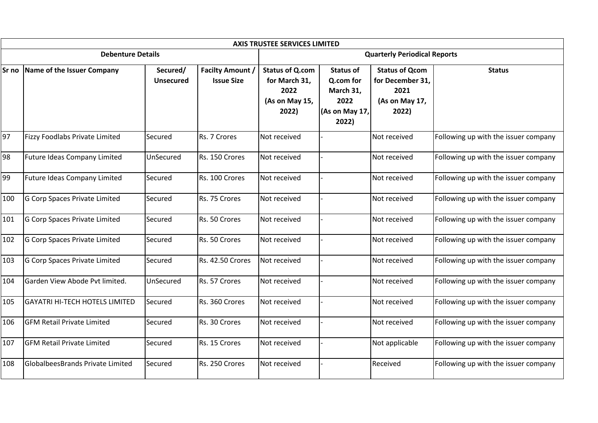|       |                                         |                              |                                              | <b>AXIS TRUSTEE SERVICES LIMITED</b>                                       |                                                                               |                                                                              |                                      |  |
|-------|-----------------------------------------|------------------------------|----------------------------------------------|----------------------------------------------------------------------------|-------------------------------------------------------------------------------|------------------------------------------------------------------------------|--------------------------------------|--|
|       | <b>Debenture Details</b>                |                              |                                              | <b>Quarterly Periodical Reports</b>                                        |                                                                               |                                                                              |                                      |  |
| Sr no | Name of the Issuer Company              | Secured/<br><b>Unsecured</b> | <b>Facilty Amount /</b><br><b>Issue Size</b> | <b>Status of Q.com</b><br>for March 31,<br>2022<br>(As on May 15,<br>2022) | <b>Status of</b><br>Q.com for<br>March 31,<br>2022<br>(As on May 17,<br>2022) | <b>Status of Qcom</b><br>for December 31,<br>2021<br>(As on May 17,<br>2022) | <b>Status</b>                        |  |
| 97    | Fizzy Foodlabs Private Limited          | Secured                      | Rs. 7 Crores                                 | Not received                                                               |                                                                               | Not received                                                                 | Following up with the issuer company |  |
| 98    | <b>Future Ideas Company Limited</b>     | UnSecured                    | Rs. 150 Crores                               | Not received                                                               |                                                                               | Not received                                                                 | Following up with the issuer company |  |
| 99    | <b>Future Ideas Company Limited</b>     | Secured                      | Rs. 100 Crores                               | Not received                                                               |                                                                               | Not received                                                                 | Following up with the issuer company |  |
| 100   | G Corp Spaces Private Limited           | Secured                      | Rs. 75 Crores                                | Not received                                                               |                                                                               | Not received                                                                 | Following up with the issuer company |  |
| 101   | G Corp Spaces Private Limited           | Secured                      | Rs. 50 Crores                                | Not received                                                               |                                                                               | Not received                                                                 | Following up with the issuer company |  |
| 102   | G Corp Spaces Private Limited           | Secured                      | Rs. 50 Crores                                | Not received                                                               |                                                                               | Not received                                                                 | Following up with the issuer company |  |
| 103   | G Corp Spaces Private Limited           | Secured                      | Rs. 42.50 Crores                             | Not received                                                               |                                                                               | Not received                                                                 | Following up with the issuer company |  |
| 104   | Garden View Abode Pvt limited.          | UnSecured                    | Rs. 57 Crores                                | Not received                                                               |                                                                               | Not received                                                                 | Following up with the issuer company |  |
| 105   | <b>GAYATRI HI-TECH HOTELS LIMITED</b>   | Secured                      | Rs. 360 Crores                               | Not received                                                               |                                                                               | Not received                                                                 | Following up with the issuer company |  |
| 106   | <b>GFM Retail Private Limited</b>       | Secured                      | Rs. 30 Crores                                | Not received                                                               |                                                                               | Not received                                                                 | Following up with the issuer company |  |
| 107   | <b>GFM Retail Private Limited</b>       | Secured                      | Rs. 15 Crores                                | Not received                                                               |                                                                               | Not applicable                                                               | Following up with the issuer company |  |
| 108   | <b>GlobalbeesBrands Private Limited</b> | Secured                      | Rs. 250 Crores                               | Not received                                                               |                                                                               | Received                                                                     | Following up with the issuer company |  |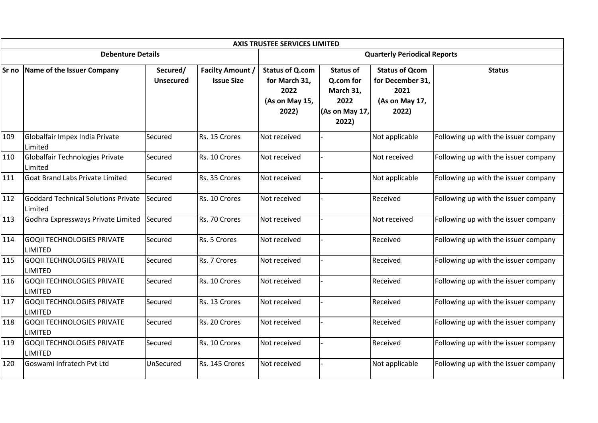|       | <b>AXIS TRUSTEE SERVICES LIMITED</b>                  |                       |                                              |                                                                            |                                                                               |                                                                              |                                      |  |  |  |  |  |
|-------|-------------------------------------------------------|-----------------------|----------------------------------------------|----------------------------------------------------------------------------|-------------------------------------------------------------------------------|------------------------------------------------------------------------------|--------------------------------------|--|--|--|--|--|
|       | <b>Debenture Details</b>                              |                       |                                              | <b>Quarterly Periodical Reports</b>                                        |                                                                               |                                                                              |                                      |  |  |  |  |  |
| Sr no | Name of the Issuer Company                            | Secured/<br>Unsecured | <b>Facilty Amount /</b><br><b>Issue Size</b> | <b>Status of Q.com</b><br>for March 31,<br>2022<br>(As on May 15,<br>2022) | <b>Status of</b><br>Q.com for<br>March 31,<br>2022<br>(As on May 17,<br>2022) | <b>Status of Qcom</b><br>for December 31,<br>2021<br>(As on May 17,<br>2022) | <b>Status</b>                        |  |  |  |  |  |
| 109   | Globalfair Impex India Private<br>Limited             | Secured               | Rs. 15 Crores                                | Not received                                                               |                                                                               | Not applicable                                                               | Following up with the issuer company |  |  |  |  |  |
| 110   | Globalfair Technologies Private<br>Limited            | Secured               | Rs. 10 Crores                                | Not received                                                               |                                                                               | Not received                                                                 | Following up with the issuer company |  |  |  |  |  |
| 111   | Goat Brand Labs Private Limited                       | Secured               | Rs. 35 Crores                                | Not received                                                               |                                                                               | Not applicable                                                               | Following up with the issuer company |  |  |  |  |  |
| 112   | <b>Goddard Technical Solutions Private</b><br>Limited | Secured               | Rs. 10 Crores                                | Not received                                                               |                                                                               | Received                                                                     | Following up with the issuer company |  |  |  |  |  |
| 113   | Godhra Expressways Private Limited Secured            |                       | Rs. 70 Crores                                | Not received                                                               |                                                                               | Not received                                                                 | Following up with the issuer company |  |  |  |  |  |
| 114   | <b>GOQII TECHNOLOGIES PRIVATE</b><br><b>LIMITED</b>   | Secured               | Rs. 5 Crores                                 | Not received                                                               |                                                                               | Received                                                                     | Following up with the issuer company |  |  |  |  |  |
| 115   | <b>GOQII TECHNOLOGIES PRIVATE</b><br><b>LIMITED</b>   | Secured               | Rs. 7 Crores                                 | Not received                                                               |                                                                               | Received                                                                     | Following up with the issuer company |  |  |  |  |  |
| 116   | <b>GOQII TECHNOLOGIES PRIVATE</b><br><b>LIMITED</b>   | Secured               | Rs. 10 Crores                                | Not received                                                               |                                                                               | Received                                                                     | Following up with the issuer company |  |  |  |  |  |
| 117   | <b>GOQII TECHNOLOGIES PRIVATE</b><br><b>LIMITED</b>   | Secured               | Rs. 13 Crores                                | Not received                                                               |                                                                               | Received                                                                     | Following up with the issuer company |  |  |  |  |  |
| 118   | <b>GOQII TECHNOLOGIES PRIVATE</b><br><b>LIMITED</b>   | Secured               | Rs. 20 Crores                                | Not received                                                               |                                                                               | Received                                                                     | Following up with the issuer company |  |  |  |  |  |
| 119   | <b>GOQII TECHNOLOGIES PRIVATE</b><br><b>LIMITED</b>   | Secured               | Rs. 10 Crores                                | Not received                                                               |                                                                               | Received                                                                     | Following up with the issuer company |  |  |  |  |  |
| 120   | Goswami Infratech Pvt Ltd                             | UnSecured             | Rs. 145 Crores                               | Not received                                                               |                                                                               | Not applicable                                                               | Following up with the issuer company |  |  |  |  |  |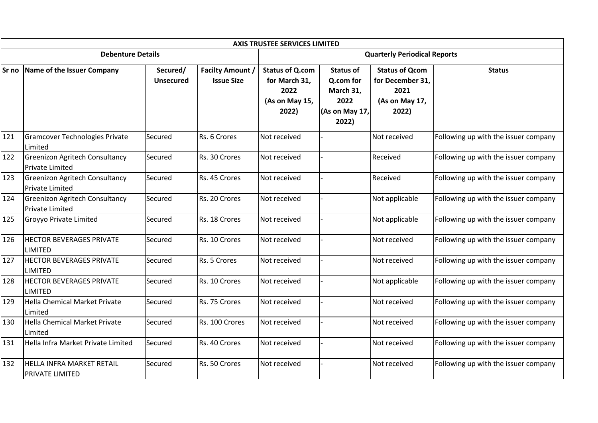|       |                                                                 |                              |                                              | <b>AXIS TRUSTEE SERVICES LIMITED</b>                                       |                                                                               |                                                                              |                                      |  |
|-------|-----------------------------------------------------------------|------------------------------|----------------------------------------------|----------------------------------------------------------------------------|-------------------------------------------------------------------------------|------------------------------------------------------------------------------|--------------------------------------|--|
|       | <b>Debenture Details</b>                                        |                              |                                              | <b>Quarterly Periodical Reports</b>                                        |                                                                               |                                                                              |                                      |  |
| Sr no | Name of the Issuer Company                                      | Secured/<br><b>Unsecured</b> | <b>Facilty Amount /</b><br><b>Issue Size</b> | <b>Status of Q.com</b><br>for March 31,<br>2022<br>(As on May 15,<br>2022) | <b>Status of</b><br>Q.com for<br>March 31,<br>2022<br>(As on May 17,<br>2022) | <b>Status of Qcom</b><br>for December 31,<br>2021<br>(As on May 17,<br>2022) | <b>Status</b>                        |  |
| 121   | <b>Gramcover Technologies Private</b><br>Limited                | Secured                      | Rs. 6 Crores                                 | Not received                                                               |                                                                               | Not received                                                                 | Following up with the issuer company |  |
| 122   | <b>Greenizon Agritech Consultancy</b><br><b>Private Limited</b> | Secured                      | Rs. 30 Crores                                | Not received                                                               |                                                                               | Received                                                                     | Following up with the issuer company |  |
| 123   | <b>Greenizon Agritech Consultancy</b><br>Private Limited        | Secured                      | Rs. 45 Crores                                | Not received                                                               |                                                                               | Received                                                                     | Following up with the issuer company |  |
| 124   | <b>Greenizon Agritech Consultancy</b><br><b>Private Limited</b> | Secured                      | Rs. 20 Crores                                | Not received                                                               |                                                                               | Not applicable                                                               | Following up with the issuer company |  |
| 125   | <b>Groyyo Private Limited</b>                                   | Secured                      | Rs. 18 Crores                                | Not received                                                               |                                                                               | Not applicable                                                               | Following up with the issuer company |  |
| 126   | <b>HECTOR BEVERAGES PRIVATE</b><br><b>LIMITED</b>               | Secured                      | Rs. 10 Crores                                | Not received                                                               |                                                                               | Not received                                                                 | Following up with the issuer company |  |
| 127   | <b>HECTOR BEVERAGES PRIVATE</b><br>LIMITED                      | Secured                      | Rs. 5 Crores                                 | Not received                                                               |                                                                               | Not received                                                                 | Following up with the issuer company |  |
| 128   | <b>HECTOR BEVERAGES PRIVATE</b><br><b>LIMITED</b>               | Secured                      | Rs. 10 Crores                                | Not received                                                               |                                                                               | Not applicable                                                               | Following up with the issuer company |  |
| 129   | Hella Chemical Market Private<br>Limited                        | Secured                      | Rs. 75 Crores                                | Not received                                                               |                                                                               | Not received                                                                 | Following up with the issuer company |  |
| 130   | Hella Chemical Market Private<br>Limited                        | Secured                      | Rs. 100 Crores                               | Not received                                                               |                                                                               | Not received                                                                 | Following up with the issuer company |  |
| 131   | Hella Infra Market Private Limited                              | Secured                      | Rs. 40 Crores                                | Not received                                                               |                                                                               | Not received                                                                 | Following up with the issuer company |  |
| 132   | <b>HELLA INFRA MARKET RETAIL</b><br><b>PRIVATE LIMITED</b>      | Secured                      | Rs. 50 Crores                                | Not received                                                               |                                                                               | Not received                                                                 | Following up with the issuer company |  |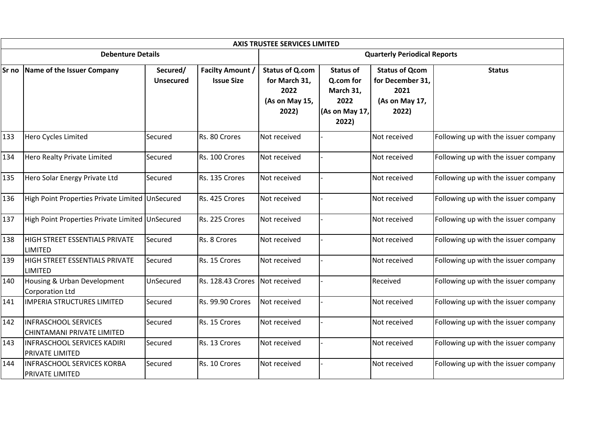|       | <b>AXIS TRUSTEE SERVICES LIMITED</b>                        |                              |                                              |                                                                            |                                                                               |                                                                              |                                      |  |  |  |  |  |
|-------|-------------------------------------------------------------|------------------------------|----------------------------------------------|----------------------------------------------------------------------------|-------------------------------------------------------------------------------|------------------------------------------------------------------------------|--------------------------------------|--|--|--|--|--|
|       | <b>Debenture Details</b>                                    |                              |                                              | <b>Quarterly Periodical Reports</b>                                        |                                                                               |                                                                              |                                      |  |  |  |  |  |
| Sr no | Name of the Issuer Company                                  | Secured/<br><b>Unsecured</b> | <b>Facilty Amount /</b><br><b>Issue Size</b> | <b>Status of Q.com</b><br>for March 31,<br>2022<br>(As on May 15,<br>2022) | <b>Status of</b><br>Q.com for<br>March 31,<br>2022<br>(As on May 17,<br>2022) | <b>Status of Qcom</b><br>for December 31,<br>2021<br>(As on May 17,<br>2022) | <b>Status</b>                        |  |  |  |  |  |
| 133   | Hero Cycles Limited                                         | Secured                      | Rs. 80 Crores                                | Not received                                                               |                                                                               | Not received                                                                 | Following up with the issuer company |  |  |  |  |  |
| 134   | Hero Realty Private Limited                                 | Secured                      | Rs. 100 Crores                               | Not received                                                               |                                                                               | Not received                                                                 | Following up with the issuer company |  |  |  |  |  |
| 135   | Hero Solar Energy Private Ltd                               | Secured                      | Rs. 135 Crores                               | Not received                                                               |                                                                               | Not received                                                                 | Following up with the issuer company |  |  |  |  |  |
| 136   | High Point Properties Private Limited UnSecured             |                              | Rs. 425 Crores                               | Not received                                                               |                                                                               | Not received                                                                 | Following up with the issuer company |  |  |  |  |  |
| 137   | High Point Properties Private Limited UnSecured             |                              | Rs. 225 Crores                               | Not received                                                               |                                                                               | Not received                                                                 | Following up with the issuer company |  |  |  |  |  |
| 138   | <b>HIGH STREET ESSENTIALS PRIVATE</b><br><b>LIMITED</b>     | Secured                      | Rs. 8 Crores                                 | Not received                                                               |                                                                               | Not received                                                                 | Following up with the issuer company |  |  |  |  |  |
| 139   | <b>HIGH STREET ESSENTIALS PRIVATE</b><br><b>LIMITED</b>     | Secured                      | Rs. 15 Crores                                | Not received                                                               |                                                                               | Not received                                                                 | Following up with the issuer company |  |  |  |  |  |
| 140   | Housing & Urban Development<br>Corporation Ltd              | UnSecured                    | <b>Rs. 128.43 Crores</b>                     | Not received                                                               |                                                                               | Received                                                                     | Following up with the issuer company |  |  |  |  |  |
| 141   | <b>IMPERIA STRUCTURES LIMITED</b>                           | Secured                      | Rs. 99.90 Crores                             | Not received                                                               |                                                                               | Not received                                                                 | Following up with the issuer company |  |  |  |  |  |
| 142   | <b>INFRASCHOOL SERVICES</b><br>CHINTAMANI PRIVATE LIMITED   | Secured                      | Rs. 15 Crores                                | Not received                                                               |                                                                               | Not received                                                                 | Following up with the issuer company |  |  |  |  |  |
| 143   | <b>INFRASCHOOL SERVICES KADIRI</b><br>PRIVATE LIMITED       | Secured                      | Rs. 13 Crores                                | Not received                                                               |                                                                               | Not received                                                                 | Following up with the issuer company |  |  |  |  |  |
| 144   | <b>INFRASCHOOL SERVICES KORBA</b><br><b>PRIVATE LIMITED</b> | Secured                      | Rs. 10 Crores                                | Not received                                                               |                                                                               | Not received                                                                 | Following up with the issuer company |  |  |  |  |  |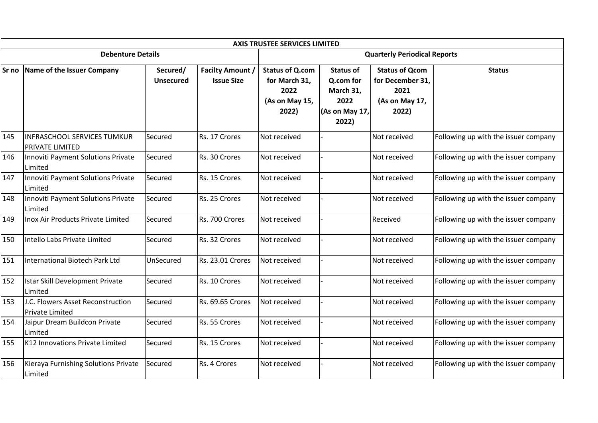|     |                                                              |                              |                                              | <b>AXIS TRUSTEE SERVICES LIMITED</b>                                       |                                                                               |                                                                              |                                      |  |
|-----|--------------------------------------------------------------|------------------------------|----------------------------------------------|----------------------------------------------------------------------------|-------------------------------------------------------------------------------|------------------------------------------------------------------------------|--------------------------------------|--|
|     | <b>Debenture Details</b>                                     |                              |                                              | <b>Quarterly Periodical Reports</b>                                        |                                                                               |                                                                              |                                      |  |
|     | Sr no Name of the Issuer Company                             | Secured/<br><b>Unsecured</b> | <b>Facilty Amount /</b><br><b>Issue Size</b> | <b>Status of Q.com</b><br>for March 31,<br>2022<br>(As on May 15,<br>2022) | <b>Status of</b><br>Q.com for<br>March 31,<br>2022<br>(As on May 17,<br>2022) | <b>Status of Qcom</b><br>for December 31,<br>2021<br>(As on May 17,<br>2022) | <b>Status</b>                        |  |
| 145 | <b>INFRASCHOOL SERVICES TUMKUR</b><br><b>PRIVATE LIMITED</b> | Secured                      | Rs. 17 Crores                                | Not received                                                               |                                                                               | Not received                                                                 | Following up with the issuer company |  |
| 146 | Innoviti Payment Solutions Private<br>Limited                | Secured                      | Rs. 30 Crores                                | Not received                                                               |                                                                               | Not received                                                                 | Following up with the issuer company |  |
| 147 | Innoviti Payment Solutions Private<br>Limited                | Secured                      | Rs. 15 Crores                                | Not received                                                               |                                                                               | Not received                                                                 | Following up with the issuer company |  |
| 148 | Innoviti Payment Solutions Private<br>Limited                | Secured                      | Rs. 25 Crores                                | Not received                                                               |                                                                               | Not received                                                                 | Following up with the issuer company |  |
| 149 | Inox Air Products Private Limited                            | Secured                      | Rs. 700 Crores                               | Not received                                                               |                                                                               | Received                                                                     | Following up with the issuer company |  |
| 150 | Intello Labs Private Limited                                 | Secured                      | Rs. 32 Crores                                | Not received                                                               |                                                                               | Not received                                                                 | Following up with the issuer company |  |
| 151 | International Biotech Park Ltd                               | UnSecured                    | Rs. 23.01 Crores                             | Not received                                                               |                                                                               | Not received                                                                 | Following up with the issuer company |  |
| 152 | Istar Skill Development Private<br>Limited                   | Secured                      | Rs. 10 Crores                                | Not received                                                               |                                                                               | Not received                                                                 | Following up with the issuer company |  |
| 153 | J.C. Flowers Asset Reconstruction<br>Private Limited         | Secured                      | Rs. 69.65 Crores                             | Not received                                                               |                                                                               | Not received                                                                 | Following up with the issuer company |  |
| 154 | Jaipur Dream Buildcon Private<br>Limited                     | Secured                      | Rs. 55 Crores                                | Not received                                                               |                                                                               | Not received                                                                 | Following up with the issuer company |  |
| 155 | K12 Innovations Private Limited                              | Secured                      | Rs. 15 Crores                                | Not received                                                               |                                                                               | Not received                                                                 | Following up with the issuer company |  |
| 156 | Kieraya Furnishing Solutions Private<br>Limited              | Secured                      | Rs. 4 Crores                                 | Not received                                                               |                                                                               | Not received                                                                 | Following up with the issuer company |  |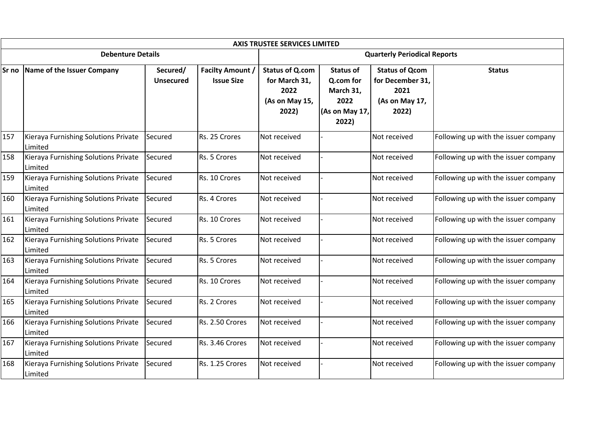|       | <b>AXIS TRUSTEE SERVICES LIMITED</b>            |                              |                                              |                                                                            |                                                                               |                                                                              |                                      |  |  |  |  |  |
|-------|-------------------------------------------------|------------------------------|----------------------------------------------|----------------------------------------------------------------------------|-------------------------------------------------------------------------------|------------------------------------------------------------------------------|--------------------------------------|--|--|--|--|--|
|       | <b>Debenture Details</b>                        |                              |                                              | <b>Quarterly Periodical Reports</b>                                        |                                                                               |                                                                              |                                      |  |  |  |  |  |
| Sr no | Name of the Issuer Company                      | Secured/<br><b>Unsecured</b> | <b>Facilty Amount /</b><br><b>Issue Size</b> | <b>Status of Q.com</b><br>for March 31,<br>2022<br>(As on May 15,<br>2022) | <b>Status of</b><br>Q.com for<br>March 31,<br>2022<br>(As on May 17,<br>2022) | <b>Status of Qcom</b><br>for December 31,<br>2021<br>(As on May 17,<br>2022) | <b>Status</b>                        |  |  |  |  |  |
| 157   | Kieraya Furnishing Solutions Private<br>Limited | Secured                      | Rs. 25 Crores                                | Not received                                                               |                                                                               | Not received                                                                 | Following up with the issuer company |  |  |  |  |  |
| 158   | Kieraya Furnishing Solutions Private<br>Limited | Secured                      | Rs. 5 Crores                                 | Not received                                                               |                                                                               | Not received                                                                 | Following up with the issuer company |  |  |  |  |  |
| 159   | Kieraya Furnishing Solutions Private<br>Limited | Secured                      | Rs. 10 Crores                                | Not received                                                               |                                                                               | Not received                                                                 | Following up with the issuer company |  |  |  |  |  |
| 160   | Kieraya Furnishing Solutions Private<br>Limited | Secured                      | Rs. 4 Crores                                 | Not received                                                               |                                                                               | Not received                                                                 | Following up with the issuer company |  |  |  |  |  |
| 161   | Kieraya Furnishing Solutions Private<br>Limited | Secured                      | Rs. 10 Crores                                | Not received                                                               |                                                                               | Not received                                                                 | Following up with the issuer company |  |  |  |  |  |
| 162   | Kieraya Furnishing Solutions Private<br>Limited | Secured                      | Rs. 5 Crores                                 | Not received                                                               |                                                                               | Not received                                                                 | Following up with the issuer company |  |  |  |  |  |
| 163   | Kieraya Furnishing Solutions Private<br>Limited | Secured                      | Rs. 5 Crores                                 | Not received                                                               |                                                                               | Not received                                                                 | Following up with the issuer company |  |  |  |  |  |
| 164   | Kieraya Furnishing Solutions Private<br>Limited | Secured                      | Rs. 10 Crores                                | Not received                                                               |                                                                               | Not received                                                                 | Following up with the issuer company |  |  |  |  |  |
| 165   | Kieraya Furnishing Solutions Private<br>Limited | Secured                      | Rs. 2 Crores                                 | Not received                                                               |                                                                               | Not received                                                                 | Following up with the issuer company |  |  |  |  |  |
| 166   | Kieraya Furnishing Solutions Private<br>Limited | Secured                      | Rs. 2.50 Crores                              | Not received                                                               |                                                                               | Not received                                                                 | Following up with the issuer company |  |  |  |  |  |
| 167   | Kieraya Furnishing Solutions Private<br>Limited | Secured                      | Rs. 3.46 Crores                              | Not received                                                               |                                                                               | Not received                                                                 | Following up with the issuer company |  |  |  |  |  |
| 168   | Kieraya Furnishing Solutions Private<br>Limited | Secured                      | Rs. 1.25 Crores                              | Not received                                                               |                                                                               | Not received                                                                 | Following up with the issuer company |  |  |  |  |  |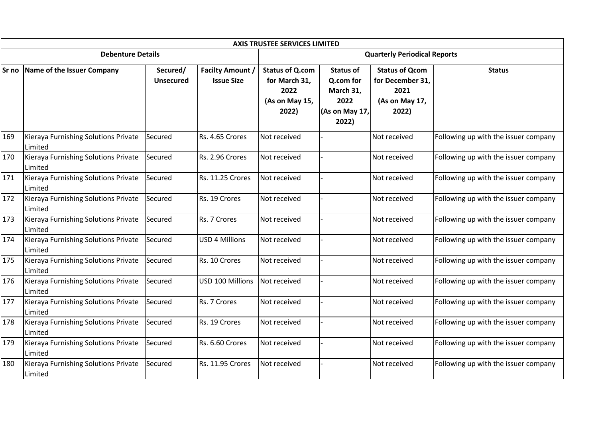|     | <b>AXIS TRUSTEE SERVICES LIMITED</b>            |                              |                                              |                                                                            |                                                                               |                                                                              |                                      |  |  |  |  |
|-----|-------------------------------------------------|------------------------------|----------------------------------------------|----------------------------------------------------------------------------|-------------------------------------------------------------------------------|------------------------------------------------------------------------------|--------------------------------------|--|--|--|--|
|     | <b>Debenture Details</b>                        |                              |                                              |                                                                            | <b>Quarterly Periodical Reports</b>                                           |                                                                              |                                      |  |  |  |  |
|     | Sr no Name of the Issuer Company                | Secured/<br><b>Unsecured</b> | <b>Facilty Amount /</b><br><b>Issue Size</b> | <b>Status of Q.com</b><br>for March 31,<br>2022<br>(As on May 15,<br>2022) | <b>Status of</b><br>Q.com for<br>March 31,<br>2022<br>(As on May 17,<br>2022) | <b>Status of Qcom</b><br>for December 31,<br>2021<br>(As on May 17,<br>2022) | <b>Status</b>                        |  |  |  |  |
| 169 | Kieraya Furnishing Solutions Private<br>Limited | Secured                      | Rs. 4.65 Crores                              | Not received                                                               |                                                                               | Not received                                                                 | Following up with the issuer company |  |  |  |  |
| 170 | Kieraya Furnishing Solutions Private<br>Limited | Secured                      | Rs. 2.96 Crores                              | Not received                                                               |                                                                               | Not received                                                                 | Following up with the issuer company |  |  |  |  |
| 171 | Kieraya Furnishing Solutions Private<br>Limited | Secured                      | Rs. 11.25 Crores                             | Not received                                                               |                                                                               | Not received                                                                 | Following up with the issuer company |  |  |  |  |
| 172 | Kieraya Furnishing Solutions Private<br>Limited | Secured                      | Rs. 19 Crores                                | Not received                                                               |                                                                               | Not received                                                                 | Following up with the issuer company |  |  |  |  |
| 173 | Kieraya Furnishing Solutions Private<br>Limited | Secured                      | Rs. 7 Crores                                 | Not received                                                               |                                                                               | Not received                                                                 | Following up with the issuer company |  |  |  |  |
| 174 | Kieraya Furnishing Solutions Private<br>Limited | Secured                      | <b>USD 4 Millions</b>                        | Not received                                                               |                                                                               | Not received                                                                 | Following up with the issuer company |  |  |  |  |
| 175 | Kieraya Furnishing Solutions Private<br>Limited | Secured                      | Rs. 10 Crores                                | Not received                                                               |                                                                               | Not received                                                                 | Following up with the issuer company |  |  |  |  |
| 176 | Kieraya Furnishing Solutions Private<br>Limited | Secured                      | USD 100 Millions                             | Not received                                                               |                                                                               | Not received                                                                 | Following up with the issuer company |  |  |  |  |
| 177 | Kieraya Furnishing Solutions Private<br>Limited | Secured                      | Rs. 7 Crores                                 | Not received                                                               |                                                                               | Not received                                                                 | Following up with the issuer company |  |  |  |  |
| 178 | Kieraya Furnishing Solutions Private<br>Limited | Secured                      | Rs. 19 Crores                                | Not received                                                               |                                                                               | Not received                                                                 | Following up with the issuer company |  |  |  |  |
| 179 | Kieraya Furnishing Solutions Private<br>Limited | Secured                      | Rs. 6.60 Crores                              | Not received                                                               |                                                                               | Not received                                                                 | Following up with the issuer company |  |  |  |  |
| 180 | Kieraya Furnishing Solutions Private<br>Limited | Secured                      | Rs. 11.95 Crores                             | Not received                                                               |                                                                               | Not received                                                                 | Following up with the issuer company |  |  |  |  |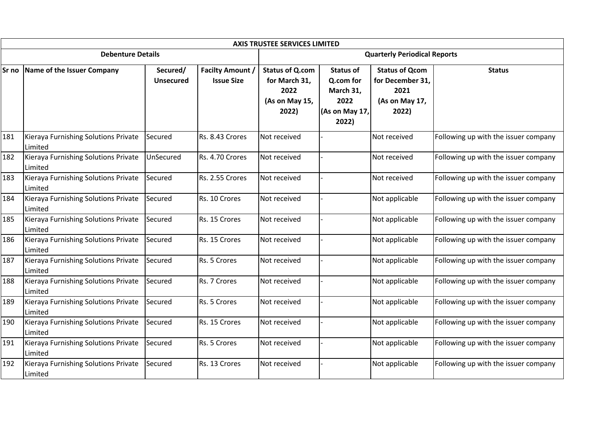|       | <b>AXIS TRUSTEE SERVICES LIMITED</b>            |                              |                                              |                                                                            |                                                                               |                                                                              |                                      |  |  |  |  |  |
|-------|-------------------------------------------------|------------------------------|----------------------------------------------|----------------------------------------------------------------------------|-------------------------------------------------------------------------------|------------------------------------------------------------------------------|--------------------------------------|--|--|--|--|--|
|       | <b>Debenture Details</b>                        |                              |                                              | <b>Quarterly Periodical Reports</b>                                        |                                                                               |                                                                              |                                      |  |  |  |  |  |
| Sr no | Name of the Issuer Company                      | Secured/<br><b>Unsecured</b> | <b>Facilty Amount /</b><br><b>Issue Size</b> | <b>Status of Q.com</b><br>for March 31,<br>2022<br>(As on May 15,<br>2022) | <b>Status of</b><br>Q.com for<br>March 31,<br>2022<br>(As on May 17,<br>2022) | <b>Status of Qcom</b><br>for December 31,<br>2021<br>(As on May 17,<br>2022) | <b>Status</b>                        |  |  |  |  |  |
| 181   | Kieraya Furnishing Solutions Private<br>Limited | Secured                      | Rs. 8.43 Crores                              | Not received                                                               |                                                                               | Not received                                                                 | Following up with the issuer company |  |  |  |  |  |
| 182   | Kieraya Furnishing Solutions Private<br>Limited | UnSecured                    | Rs. 4.70 Crores                              | Not received                                                               |                                                                               | Not received                                                                 | Following up with the issuer company |  |  |  |  |  |
| 183   | Kieraya Furnishing Solutions Private<br>Limited | Secured                      | Rs. 2.55 Crores                              | Not received                                                               |                                                                               | Not received                                                                 | Following up with the issuer company |  |  |  |  |  |
| 184   | Kieraya Furnishing Solutions Private<br>Limited | Secured                      | Rs. 10 Crores                                | Not received                                                               |                                                                               | Not applicable                                                               | Following up with the issuer company |  |  |  |  |  |
| 185   | Kieraya Furnishing Solutions Private<br>Limited | Secured                      | Rs. 15 Crores                                | Not received                                                               |                                                                               | Not applicable                                                               | Following up with the issuer company |  |  |  |  |  |
| 186   | Kieraya Furnishing Solutions Private<br>Limited | Secured                      | Rs. 15 Crores                                | Not received                                                               |                                                                               | Not applicable                                                               | Following up with the issuer company |  |  |  |  |  |
| 187   | Kieraya Furnishing Solutions Private<br>Limited | Secured                      | Rs. 5 Crores                                 | Not received                                                               |                                                                               | Not applicable                                                               | Following up with the issuer company |  |  |  |  |  |
| 188   | Kieraya Furnishing Solutions Private<br>Limited | Secured                      | Rs. 7 Crores                                 | Not received                                                               |                                                                               | Not applicable                                                               | Following up with the issuer company |  |  |  |  |  |
| 189   | Kieraya Furnishing Solutions Private<br>Limited | Secured                      | Rs. 5 Crores                                 | Not received                                                               |                                                                               | Not applicable                                                               | Following up with the issuer company |  |  |  |  |  |
| 190   | Kieraya Furnishing Solutions Private<br>Limited | Secured                      | Rs. 15 Crores                                | Not received                                                               |                                                                               | Not applicable                                                               | Following up with the issuer company |  |  |  |  |  |
| 191   | Kieraya Furnishing Solutions Private<br>Limited | Secured                      | Rs. 5 Crores                                 | Not received                                                               |                                                                               | Not applicable                                                               | Following up with the issuer company |  |  |  |  |  |
| 192   | Kieraya Furnishing Solutions Private<br>Limited | Secured                      | Rs. 13 Crores                                | Not received                                                               |                                                                               | Not applicable                                                               | Following up with the issuer company |  |  |  |  |  |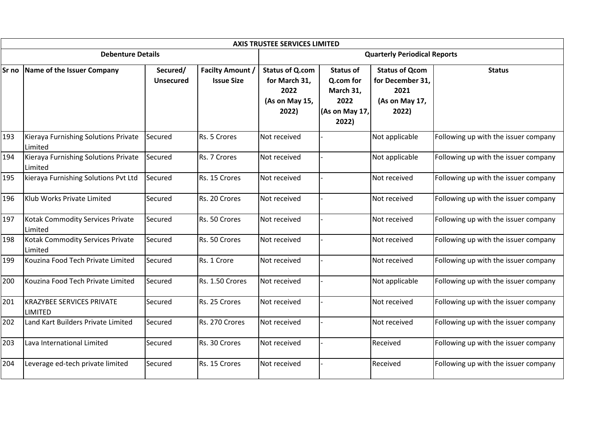|     | <b>AXIS TRUSTEE SERVICES LIMITED</b>               |                              |                                              |                                                                            |                                                                               |                                                                              |                                      |  |  |  |  |  |
|-----|----------------------------------------------------|------------------------------|----------------------------------------------|----------------------------------------------------------------------------|-------------------------------------------------------------------------------|------------------------------------------------------------------------------|--------------------------------------|--|--|--|--|--|
|     | <b>Debenture Details</b>                           |                              |                                              | <b>Quarterly Periodical Reports</b>                                        |                                                                               |                                                                              |                                      |  |  |  |  |  |
|     | Sr no Name of the Issuer Company                   | Secured/<br><b>Unsecured</b> | <b>Facilty Amount /</b><br><b>Issue Size</b> | <b>Status of Q.com</b><br>for March 31,<br>2022<br>(As on May 15,<br>2022) | <b>Status of</b><br>Q.com for<br>March 31,<br>2022<br>(As on May 17,<br>2022) | <b>Status of Qcom</b><br>for December 31,<br>2021<br>(As on May 17,<br>2022) | <b>Status</b>                        |  |  |  |  |  |
| 193 | Kieraya Furnishing Solutions Private<br>Limited    | Secured                      | Rs. 5 Crores                                 | Not received                                                               |                                                                               | Not applicable                                                               | Following up with the issuer company |  |  |  |  |  |
| 194 | Kieraya Furnishing Solutions Private<br>Limited    | Secured                      | Rs. 7 Crores                                 | Not received                                                               |                                                                               | Not applicable                                                               | Following up with the issuer company |  |  |  |  |  |
| 195 | kieraya Furnishing Solutions Pvt Ltd               | Secured                      | Rs. 15 Crores                                | Not received                                                               |                                                                               | Not received                                                                 | Following up with the issuer company |  |  |  |  |  |
| 196 | Klub Works Private Limited                         | Secured                      | Rs. 20 Crores                                | Not received                                                               |                                                                               | Not received                                                                 | Following up with the issuer company |  |  |  |  |  |
| 197 | Kotak Commodity Services Private<br>Limited        | Secured                      | Rs. 50 Crores                                | Not received                                                               |                                                                               | Not received                                                                 | Following up with the issuer company |  |  |  |  |  |
| 198 | Kotak Commodity Services Private<br>Limited        | Secured                      | Rs. 50 Crores                                | Not received                                                               |                                                                               | Not received                                                                 | Following up with the issuer company |  |  |  |  |  |
| 199 | Kouzina Food Tech Private Limited                  | Secured                      | Rs. 1 Crore                                  | Not received                                                               |                                                                               | Not received                                                                 | Following up with the issuer company |  |  |  |  |  |
| 200 | Kouzina Food Tech Private Limited                  | Secured                      | Rs. 1.50 Crores                              | Not received                                                               |                                                                               | Not applicable                                                               | Following up with the issuer company |  |  |  |  |  |
| 201 | <b>KRAZYBEE SERVICES PRIVATE</b><br><b>LIMITED</b> | Secured                      | Rs. 25 Crores                                | Not received                                                               |                                                                               | Not received                                                                 | Following up with the issuer company |  |  |  |  |  |
| 202 | Land Kart Builders Private Limited                 | Secured                      | Rs. 270 Crores                               | Not received                                                               |                                                                               | Not received                                                                 | Following up with the issuer company |  |  |  |  |  |
| 203 | Lava International Limited                         | Secured                      | Rs. 30 Crores                                | Not received                                                               |                                                                               | Received                                                                     | Following up with the issuer company |  |  |  |  |  |
| 204 | Leverage ed-tech private limited                   | Secured                      | Rs. 15 Crores                                | Not received                                                               |                                                                               | Received                                                                     | Following up with the issuer company |  |  |  |  |  |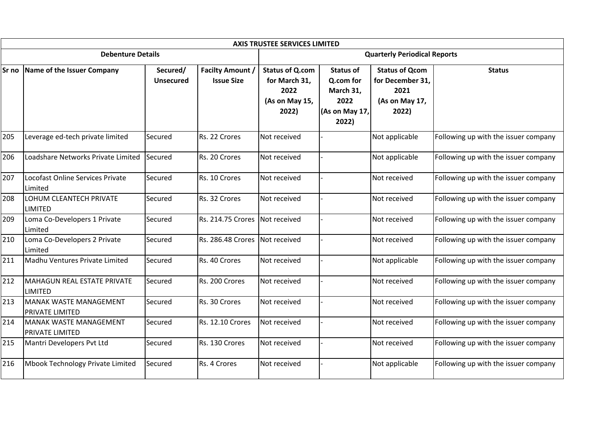|     | <b>AXIS TRUSTEE SERVICES LIMITED</b>             |                              |                                              |                                                                            |                                                                               |                                                                              |                                      |  |  |  |  |
|-----|--------------------------------------------------|------------------------------|----------------------------------------------|----------------------------------------------------------------------------|-------------------------------------------------------------------------------|------------------------------------------------------------------------------|--------------------------------------|--|--|--|--|
|     | <b>Debenture Details</b>                         |                              |                                              | <b>Quarterly Periodical Reports</b>                                        |                                                                               |                                                                              |                                      |  |  |  |  |
|     | Sr no Name of the Issuer Company                 | Secured/<br><b>Unsecured</b> | <b>Facilty Amount /</b><br><b>Issue Size</b> | <b>Status of Q.com</b><br>for March 31,<br>2022<br>(As on May 15,<br>2022) | <b>Status of</b><br>Q.com for<br>March 31,<br>2022<br>(As on May 17,<br>2022) | <b>Status of Qcom</b><br>for December 31,<br>2021<br>(As on May 17,<br>2022) | <b>Status</b>                        |  |  |  |  |
| 205 | Leverage ed-tech private limited                 | Secured                      | Rs. 22 Crores                                | Not received                                                               |                                                                               | Not applicable                                                               | Following up with the issuer company |  |  |  |  |
| 206 | Loadshare Networks Private Limited               | Secured                      | Rs. 20 Crores                                | Not received                                                               |                                                                               | Not applicable                                                               | Following up with the issuer company |  |  |  |  |
| 207 | Locofast Online Services Private<br>Limited      | Secured                      | Rs. 10 Crores                                | Not received                                                               |                                                                               | Not received                                                                 | Following up with the issuer company |  |  |  |  |
| 208 | LOHUM CLEANTECH PRIVATE<br><b>LIMITED</b>        | Secured                      | Rs. 32 Crores                                | Not received                                                               |                                                                               | Not received                                                                 | Following up with the issuer company |  |  |  |  |
| 209 | Loma Co-Developers 1 Private<br>Limited          | Secured                      | Rs. 214.75 Crores                            | Not received                                                               |                                                                               | Not received                                                                 | Following up with the issuer company |  |  |  |  |
| 210 | Loma Co-Developers 2 Private<br>Limited          | Secured                      | Rs. 286.48 Crores                            | Not received                                                               |                                                                               | Not received                                                                 | Following up with the issuer company |  |  |  |  |
| 211 | Madhu Ventures Private Limited                   | Secured                      | Rs. 40 Crores                                | Not received                                                               |                                                                               | Not applicable                                                               | Following up with the issuer company |  |  |  |  |
| 212 | MAHAGUN REAL ESTATE PRIVATE<br><b>LIMITED</b>    | Secured                      | Rs. 200 Crores                               | Not received                                                               |                                                                               | Not received                                                                 | Following up with the issuer company |  |  |  |  |
| 213 | MANAK WASTE MANAGEMENT<br>PRIVATE LIMITED        | Secured                      | Rs. 30 Crores                                | Not received                                                               |                                                                               | Not received                                                                 | Following up with the issuer company |  |  |  |  |
| 214 | MANAK WASTE MANAGEMENT<br><b>PRIVATE LIMITED</b> | Secured                      | Rs. 12.10 Crores                             | Not received                                                               |                                                                               | Not received                                                                 | Following up with the issuer company |  |  |  |  |
| 215 | Mantri Developers Pvt Ltd                        | Secured                      | Rs. 130 Crores                               | Not received                                                               |                                                                               | Not received                                                                 | Following up with the issuer company |  |  |  |  |
| 216 | Mbook Technology Private Limited                 | Secured                      | Rs. 4 Crores                                 | Not received                                                               |                                                                               | Not applicable                                                               | Following up with the issuer company |  |  |  |  |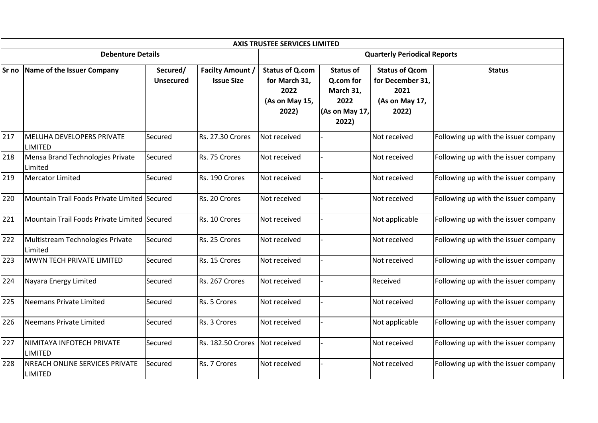| <b>AXIS TRUSTEE SERVICES LIMITED</b> |                                                          |                              |                                              |                                                                            |                                                                               |                                                                              |                                      |  |  |  |
|--------------------------------------|----------------------------------------------------------|------------------------------|----------------------------------------------|----------------------------------------------------------------------------|-------------------------------------------------------------------------------|------------------------------------------------------------------------------|--------------------------------------|--|--|--|
|                                      | <b>Debenture Details</b>                                 |                              |                                              |                                                                            | <b>Quarterly Periodical Reports</b>                                           |                                                                              |                                      |  |  |  |
| Sr no                                | Name of the Issuer Company                               | Secured/<br><b>Unsecured</b> | <b>Facilty Amount /</b><br><b>Issue Size</b> | <b>Status of Q.com</b><br>for March 31,<br>2022<br>(As on May 15,<br>2022) | <b>Status of</b><br>Q.com for<br>March 31,<br>2022<br>(As on May 17,<br>2022) | <b>Status of Qcom</b><br>for December 31,<br>2021<br>(As on May 17,<br>2022) | <b>Status</b>                        |  |  |  |
| 217                                  | MELUHA DEVELOPERS PRIVATE<br><b>LIMITED</b>              | Secured                      | Rs. 27.30 Crores                             | Not received                                                               |                                                                               | Not received                                                                 | Following up with the issuer company |  |  |  |
| 218                                  | Mensa Brand Technologies Private<br>Limited              | Secured                      | Rs. 75 Crores                                | Not received                                                               |                                                                               | Not received                                                                 | Following up with the issuer company |  |  |  |
| 219                                  | Mercator Limited                                         | Secured                      | Rs. 190 Crores                               | Not received                                                               |                                                                               | Not received                                                                 | Following up with the issuer company |  |  |  |
| 220                                  | Mountain Trail Foods Private Limited Secured             |                              | Rs. 20 Crores                                | Not received                                                               |                                                                               | Not received                                                                 | Following up with the issuer company |  |  |  |
| 221                                  | Mountain Trail Foods Private Limited Secured             |                              | Rs. 10 Crores                                | Not received                                                               |                                                                               | Not applicable                                                               | Following up with the issuer company |  |  |  |
| 222                                  | Multistream Technologies Private<br><b>Limited</b>       | Secured                      | Rs. 25 Crores                                | Not received                                                               |                                                                               | Not received                                                                 | Following up with the issuer company |  |  |  |
| 223                                  | MWYN TECH PRIVATE LIMITED                                | Secured                      | Rs. 15 Crores                                | Not received                                                               |                                                                               | Not received                                                                 | Following up with the issuer company |  |  |  |
| 224                                  | Nayara Energy Limited                                    | Secured                      | Rs. 267 Crores                               | Not received                                                               |                                                                               | Received                                                                     | Following up with the issuer company |  |  |  |
| 225                                  | Neemans Private Limited                                  | Secured                      | Rs. 5 Crores                                 | Not received                                                               |                                                                               | Not received                                                                 | Following up with the issuer company |  |  |  |
| 226                                  | Neemans Private Limited                                  | Secured                      | Rs. 3 Crores                                 | Not received                                                               |                                                                               | Not applicable                                                               | Following up with the issuer company |  |  |  |
| 227                                  | NIMITAYA INFOTECH PRIVATE<br><b>LIMITED</b>              | Secured                      | Rs. 182.50 Crores                            | Not received                                                               |                                                                               | Not received                                                                 | Following up with the issuer company |  |  |  |
| 228                                  | <b>INREACH ONLINE SERVICES PRIVATE</b><br><b>LIMITED</b> | Secured                      | Rs. 7 Crores                                 | Not received                                                               |                                                                               | Not received                                                                 | Following up with the issuer company |  |  |  |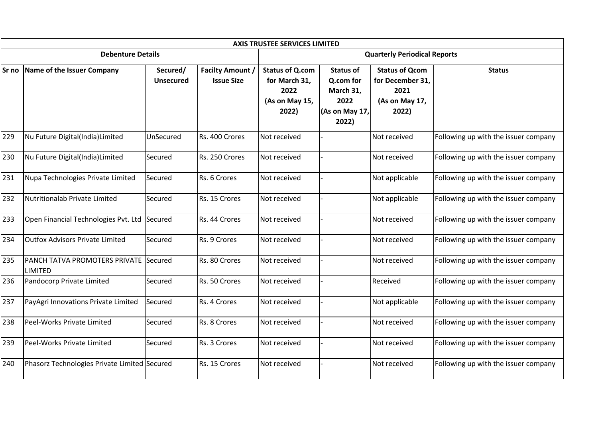|       |                                                                |                              |                                              | <b>AXIS TRUSTEE SERVICES LIMITED</b>                                       |                                                                               |                                                                              |                                      |  |  |
|-------|----------------------------------------------------------------|------------------------------|----------------------------------------------|----------------------------------------------------------------------------|-------------------------------------------------------------------------------|------------------------------------------------------------------------------|--------------------------------------|--|--|
|       | <b>Debenture Details</b>                                       |                              |                                              |                                                                            | <b>Quarterly Periodical Reports</b>                                           |                                                                              |                                      |  |  |
| Sr no | Name of the Issuer Company                                     | Secured/<br><b>Unsecured</b> | <b>Facilty Amount /</b><br><b>Issue Size</b> | <b>Status of Q.com</b><br>for March 31,<br>2022<br>(As on May 15,<br>2022) | <b>Status of</b><br>Q.com for<br>March 31,<br>2022<br>(As on May 17,<br>2022) | <b>Status of Qcom</b><br>for December 31,<br>2021<br>(As on May 17,<br>2022) | <b>Status</b>                        |  |  |
| 229   | Nu Future Digital(India)Limited                                | UnSecured                    | Rs. 400 Crores                               | Not received                                                               |                                                                               | Not received                                                                 | Following up with the issuer company |  |  |
| 230   | Nu Future Digital(India)Limited                                | Secured                      | Rs. 250 Crores                               | Not received                                                               |                                                                               | Not received                                                                 | Following up with the issuer company |  |  |
| 231   | Nupa Technologies Private Limited                              | Secured                      | Rs. 6 Crores                                 | Not received                                                               |                                                                               | Not applicable                                                               | Following up with the issuer company |  |  |
| 232   | Nutritionalab Private Limited                                  | Secured                      | Rs. 15 Crores                                | Not received                                                               |                                                                               | Not applicable                                                               | Following up with the issuer company |  |  |
| 233   | Open Financial Technologies Pvt. Ltd                           | Secured                      | Rs. 44 Crores                                | Not received                                                               |                                                                               | Not received                                                                 | Following up with the issuer company |  |  |
| 234   | <b>Outfox Advisors Private Limited</b>                         | Secured                      | Rs. 9 Crores                                 | Not received                                                               |                                                                               | Not received                                                                 | Following up with the issuer company |  |  |
| 235   | <b>PANCH TATVA PROMOTERS PRIVATE Secured</b><br><b>LIMITED</b> |                              | Rs. 80 Crores                                | Not received                                                               |                                                                               | Not received                                                                 | Following up with the issuer company |  |  |
| 236   | Pandocorp Private Limited                                      | Secured                      | Rs. 50 Crores                                | Not received                                                               |                                                                               | Received                                                                     | Following up with the issuer company |  |  |
| 237   | PayAgri Innovations Private Limited                            | Secured                      | Rs. 4 Crores                                 | Not received                                                               |                                                                               | Not applicable                                                               | Following up with the issuer company |  |  |
| 238   | Peel-Works Private Limited                                     | Secured                      | Rs. 8 Crores                                 | Not received                                                               |                                                                               | Not received                                                                 | Following up with the issuer company |  |  |
| 239   | Peel-Works Private Limited                                     | Secured                      | Rs. 3 Crores                                 | Not received                                                               |                                                                               | Not received                                                                 | Following up with the issuer company |  |  |
| 240   | Phasorz Technologies Private Limited Secured                   |                              | Rs. 15 Crores                                | Not received                                                               |                                                                               | Not received                                                                 | Following up with the issuer company |  |  |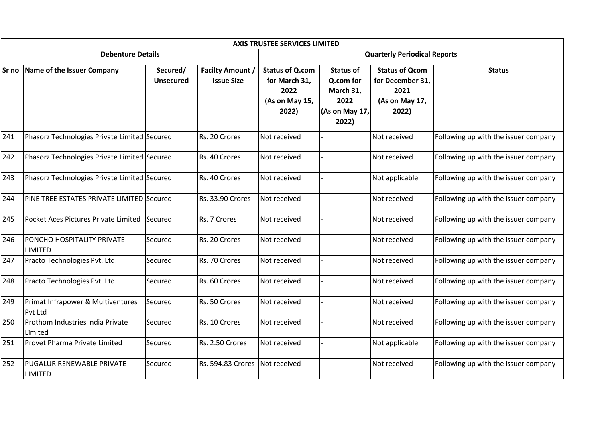|       |                                              |                              |                                              | <b>AXIS TRUSTEE SERVICES LIMITED</b>                                       |                                                                               |                                                                              |                                      |  |
|-------|----------------------------------------------|------------------------------|----------------------------------------------|----------------------------------------------------------------------------|-------------------------------------------------------------------------------|------------------------------------------------------------------------------|--------------------------------------|--|
|       | <b>Debenture Details</b>                     |                              | <b>Quarterly Periodical Reports</b>          |                                                                            |                                                                               |                                                                              |                                      |  |
| Sr no | Name of the Issuer Company                   | Secured/<br><b>Unsecured</b> | <b>Facilty Amount /</b><br><b>Issue Size</b> | <b>Status of Q.com</b><br>for March 31,<br>2022<br>(As on May 15,<br>2022) | <b>Status of</b><br>Q.com for<br>March 31,<br>2022<br>(As on May 17,<br>2022) | <b>Status of Qcom</b><br>for December 31,<br>2021<br>(As on May 17,<br>2022) | <b>Status</b>                        |  |
| 241   | Phasorz Technologies Private Limited Secured |                              | Rs. 20 Crores                                | Not received                                                               |                                                                               | Not received                                                                 | Following up with the issuer company |  |
| 242   | Phasorz Technologies Private Limited Secured |                              | Rs. 40 Crores                                | Not received                                                               |                                                                               | Not received                                                                 | Following up with the issuer company |  |
| 243   | Phasorz Technologies Private Limited Secured |                              | Rs. 40 Crores                                | Not received                                                               |                                                                               | Not applicable                                                               | Following up with the issuer company |  |
| 244   | PINE TREE ESTATES PRIVATE LIMITED Secured    |                              | <b>Rs. 33.90 Crores</b>                      | Not received                                                               |                                                                               | Not received                                                                 | Following up with the issuer company |  |
| 245   | Pocket Aces Pictures Private Limited         | Secured                      | Rs. 7 Crores                                 | Not received                                                               |                                                                               | Not received                                                                 | Following up with the issuer company |  |
| 246   | PONCHO HOSPITALITY PRIVATE<br><b>LIMITED</b> | Secured                      | Rs. 20 Crores                                | Not received                                                               |                                                                               | Not received                                                                 | Following up with the issuer company |  |
| 247   | Practo Technologies Pvt. Ltd.                | Secured                      | Rs. 70 Crores                                | Not received                                                               |                                                                               | Not received                                                                 | Following up with the issuer company |  |
| 248   | Practo Technologies Pvt. Ltd.                | Secured                      | Rs. 60 Crores                                | Not received                                                               |                                                                               | Not received                                                                 | Following up with the issuer company |  |
| 249   | Primat Infrapower & Multiventures<br>Pvt Ltd | Secured                      | Rs. 50 Crores                                | Not received                                                               |                                                                               | Not received                                                                 | Following up with the issuer company |  |
| 250   | Prothom Industries India Private<br>Limited  | Secured                      | Rs. 10 Crores                                | Not received                                                               |                                                                               | Not received                                                                 | Following up with the issuer company |  |
| 251   | Provet Pharma Private Limited                | Secured                      | Rs. 2.50 Crores                              | Not received                                                               |                                                                               | Not applicable                                                               | Following up with the issuer company |  |
| 252   | PUGALUR RENEWABLE PRIVATE<br><b>LIMITED</b>  | Secured                      | Rs. 594.83 Crores                            | Not received                                                               |                                                                               | Not received                                                                 | Following up with the issuer company |  |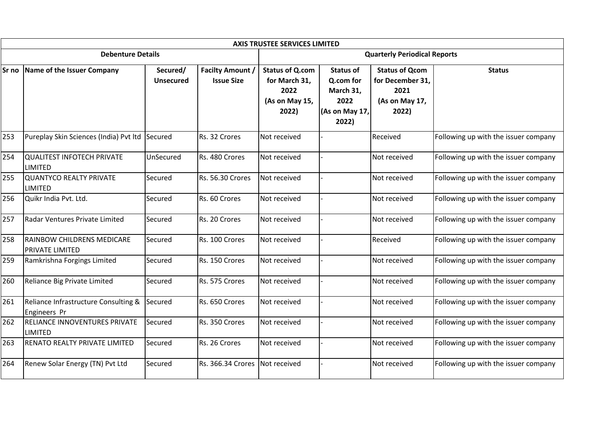|       | <b>AXIS TRUSTEE SERVICES LIMITED</b>                   |                              |                                              |                                                                            |                                                                               |                                                                              |                                      |  |  |  |  |  |
|-------|--------------------------------------------------------|------------------------------|----------------------------------------------|----------------------------------------------------------------------------|-------------------------------------------------------------------------------|------------------------------------------------------------------------------|--------------------------------------|--|--|--|--|--|
|       | <b>Debenture Details</b>                               |                              |                                              | <b>Quarterly Periodical Reports</b>                                        |                                                                               |                                                                              |                                      |  |  |  |  |  |
| Sr no | Name of the Issuer Company                             | Secured/<br><b>Unsecured</b> | <b>Facilty Amount /</b><br><b>Issue Size</b> | <b>Status of Q.com</b><br>for March 31,<br>2022<br>(As on May 15,<br>2022) | <b>Status of</b><br>Q.com for<br>March 31,<br>2022<br>(As on May 17,<br>2022) | <b>Status of Qcom</b><br>for December 31,<br>2021<br>(As on May 17,<br>2022) | <b>Status</b>                        |  |  |  |  |  |
| 253   | Pureplay Skin Sciences (India) Pvt Itd                 | Secured                      | Rs. 32 Crores                                | Not received                                                               |                                                                               | Received                                                                     | Following up with the issuer company |  |  |  |  |  |
| 254   | <b>QUALITEST INFOTECH PRIVATE</b><br>LIMITED           | UnSecured                    | Rs. 480 Crores                               | Not received                                                               |                                                                               | Not received                                                                 | Following up with the issuer company |  |  |  |  |  |
| 255   | QUANTYCO REALTY PRIVATE<br>LIMITED                     | Secured                      | Rs. 56.30 Crores                             | Not received                                                               |                                                                               | Not received                                                                 | Following up with the issuer company |  |  |  |  |  |
| 256   | Quikr India Pvt. Ltd.                                  | Secured                      | Rs. 60 Crores                                | Not received                                                               |                                                                               | Not received                                                                 | Following up with the issuer company |  |  |  |  |  |
| 257   | Radar Ventures Private Limited                         | Secured                      | Rs. 20 Crores                                | Not received                                                               |                                                                               | Not received                                                                 | Following up with the issuer company |  |  |  |  |  |
| 258   | RAINBOW CHILDRENS MEDICARE<br>PRIVATE LIMITED          | Secured                      | Rs. 100 Crores                               | Not received                                                               |                                                                               | Received                                                                     | Following up with the issuer company |  |  |  |  |  |
| 259   | Ramkrishna Forgings Limited                            | Secured                      | Rs. 150 Crores                               | Not received                                                               |                                                                               | Not received                                                                 | Following up with the issuer company |  |  |  |  |  |
| 260   | Reliance Big Private Limited                           | Secured                      | Rs. 575 Crores                               | Not received                                                               |                                                                               | Not received                                                                 | Following up with the issuer company |  |  |  |  |  |
| 261   | Reliance Infrastructure Consulting &<br>Engineers Pr   | Secured                      | Rs. 650 Crores                               | Not received                                                               |                                                                               | Not received                                                                 | Following up with the issuer company |  |  |  |  |  |
| 262   | <b>RELIANCE INNOVENTURES PRIVATE</b><br><b>LIMITED</b> | Secured                      | Rs. 350 Crores                               | Not received                                                               |                                                                               | Not received                                                                 | Following up with the issuer company |  |  |  |  |  |
| 263   | <b>RENATO REALTY PRIVATE LIMITED</b>                   | Secured                      | Rs. 26 Crores                                | Not received                                                               |                                                                               | Not received                                                                 | Following up with the issuer company |  |  |  |  |  |
| 264   | Renew Solar Energy (TN) Pvt Ltd                        | Secured                      | Rs. 366.34 Crores                            | Not received                                                               |                                                                               | Not received                                                                 | Following up with the issuer company |  |  |  |  |  |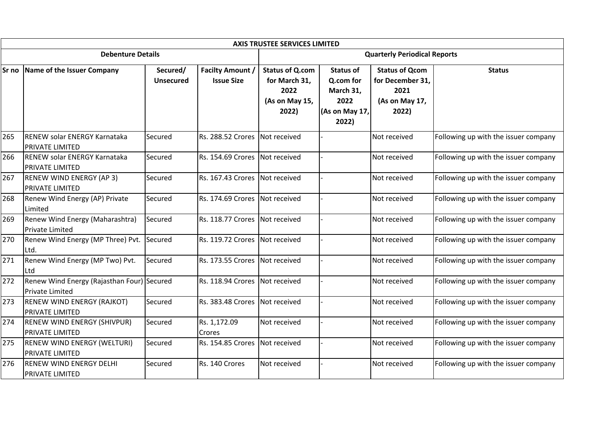|     | <b>AXIS TRUSTEE SERVICES LIMITED</b>                           |                              |                                              |                                                                            |                                                                               |                                                                              |                                      |  |  |  |  |
|-----|----------------------------------------------------------------|------------------------------|----------------------------------------------|----------------------------------------------------------------------------|-------------------------------------------------------------------------------|------------------------------------------------------------------------------|--------------------------------------|--|--|--|--|
|     | <b>Debenture Details</b>                                       |                              |                                              |                                                                            | <b>Quarterly Periodical Reports</b>                                           |                                                                              |                                      |  |  |  |  |
|     | Sr no Name of the Issuer Company                               | Secured/<br><b>Unsecured</b> | <b>Facilty Amount /</b><br><b>Issue Size</b> | <b>Status of Q.com</b><br>for March 31,<br>2022<br>(As on May 15,<br>2022) | <b>Status of</b><br>Q.com for<br>March 31,<br>2022<br>(As on May 17,<br>2022) | <b>Status of Qcom</b><br>for December 31,<br>2021<br>(As on May 17,<br>2022) | <b>Status</b>                        |  |  |  |  |
| 265 | <b>IRENEW solar ENERGY Karnataka</b><br><b>PRIVATE LIMITED</b> | Secured                      | Rs. 288.52 Crores                            | Not received                                                               |                                                                               | Not received                                                                 | Following up with the issuer company |  |  |  |  |
| 266 | <b>RENEW solar ENERGY Karnataka</b><br><b>PRIVATE LIMITED</b>  | Secured                      | Rs. 154.69 Crores                            | Not received                                                               |                                                                               | Not received                                                                 | Following up with the issuer company |  |  |  |  |
| 267 | <b>RENEW WIND ENERGY (AP 3)</b><br><b>PRIVATE LIMITED</b>      | Secured                      | Rs. 167.43 Crores Not received               |                                                                            |                                                                               | Not received                                                                 | Following up with the issuer company |  |  |  |  |
| 268 | Renew Wind Energy (AP) Private<br>Limited                      | Secured                      | Rs. 174.69 Crores                            | Not received                                                               |                                                                               | Not received                                                                 | Following up with the issuer company |  |  |  |  |
| 269 | Renew Wind Energy (Maharashtra)<br>Private Limited             | Secured                      | Rs. 118.77 Crores                            | Not received                                                               |                                                                               | Not received                                                                 | Following up with the issuer company |  |  |  |  |
| 270 | Renew Wind Energy (MP Three) Pvt.<br>Ltd.                      | Secured                      | <b>Rs. 119.72 Crores</b>                     | Not received                                                               |                                                                               | Not received                                                                 | Following up with the issuer company |  |  |  |  |
| 271 | Renew Wind Energy (MP Two) Pvt.<br>l Ltd                       | Secured                      | Rs. 173.55 Crores                            | Not received                                                               |                                                                               | Not received                                                                 | Following up with the issuer company |  |  |  |  |
| 272 | Renew Wind Energy (Rajasthan Four) Secured<br>Private Limited  |                              | <b>Rs. 118.94 Crores</b>                     | Not received                                                               |                                                                               | Not received                                                                 | Following up with the issuer company |  |  |  |  |
| 273 | <b>RENEW WIND ENERGY (RAJKOT)</b><br><b>PRIVATE LIMITED</b>    | Secured                      | Rs. 383.48 Crores                            | Not received                                                               |                                                                               | Not received                                                                 | Following up with the issuer company |  |  |  |  |
| 274 | <b>RENEW WIND ENERGY (SHIVPUR)</b><br><b>PRIVATE LIMITED</b>   | Secured                      | Rs. 1,172.09<br><b>Crores</b>                | Not received                                                               |                                                                               | Not received                                                                 | Following up with the issuer company |  |  |  |  |
| 275 | <b>RENEW WIND ENERGY (WELTURI)</b><br><b>PRIVATE LIMITED</b>   | Secured                      | Rs. 154.85 Crores                            | Not received                                                               |                                                                               | Not received                                                                 | Following up with the issuer company |  |  |  |  |
| 276 | <b>RENEW WIND ENERGY DELHI</b><br><b>PRIVATE LIMITED</b>       | Secured                      | Rs. 140 Crores                               | Not received                                                               |                                                                               | Not received                                                                 | Following up with the issuer company |  |  |  |  |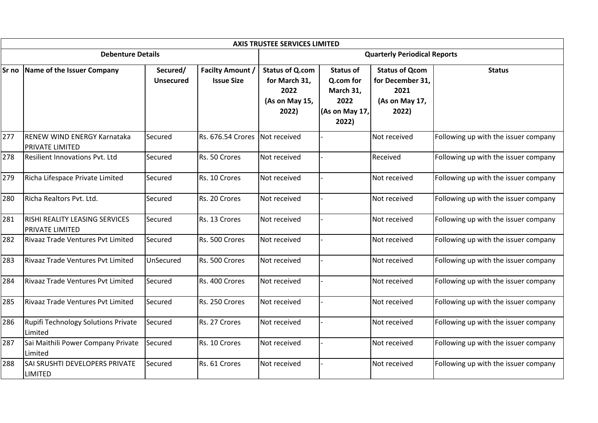|       |                                                                 |                              |                                              | <b>AXIS TRUSTEE SERVICES LIMITED</b>                                       |                                                                               |                                                                              |                                      |  |  |
|-------|-----------------------------------------------------------------|------------------------------|----------------------------------------------|----------------------------------------------------------------------------|-------------------------------------------------------------------------------|------------------------------------------------------------------------------|--------------------------------------|--|--|
|       | <b>Debenture Details</b>                                        |                              |                                              |                                                                            | <b>Quarterly Periodical Reports</b>                                           |                                                                              |                                      |  |  |
| Sr no | Name of the Issuer Company                                      | Secured/<br><b>Unsecured</b> | <b>Facilty Amount /</b><br><b>Issue Size</b> | <b>Status of Q.com</b><br>for March 31,<br>2022<br>(As on May 15,<br>2022) | <b>Status of</b><br>Q.com for<br>March 31,<br>2022<br>(As on May 17,<br>2022) | <b>Status of Qcom</b><br>for December 31,<br>2021<br>(As on May 17,<br>2022) | <b>Status</b>                        |  |  |
| 277   | <b>IRENEW WIND ENERGY Karnataka</b><br><b>PRIVATE LIMITED</b>   | Secured                      | Rs. 676.54 Crores                            | Not received                                                               |                                                                               | Not received                                                                 | Following up with the issuer company |  |  |
| 278   | <b>Resilient Innovations Pvt. Ltd</b>                           | Secured                      | Rs. 50 Crores                                | Not received                                                               |                                                                               | Received                                                                     | Following up with the issuer company |  |  |
| 279   | Richa Lifespace Private Limited                                 | Secured                      | Rs. 10 Crores                                | Not received                                                               |                                                                               | Not received                                                                 | Following up with the issuer company |  |  |
| 280   | Richa Realtors Pvt. Ltd.                                        | Secured                      | Rs. 20 Crores                                | Not received                                                               |                                                                               | Not received                                                                 | Following up with the issuer company |  |  |
| 281   | <b>RISHI REALITY LEASING SERVICES</b><br><b>PRIVATE LIMITED</b> | Secured                      | Rs. 13 Crores                                | Not received                                                               |                                                                               | Not received                                                                 | Following up with the issuer company |  |  |
| 282   | Rivaaz Trade Ventures Pvt Limited                               | Secured                      | Rs. 500 Crores                               | Not received                                                               |                                                                               | Not received                                                                 | Following up with the issuer company |  |  |
| 283   | Rivaaz Trade Ventures Pvt Limited                               | UnSecured                    | Rs. 500 Crores                               | Not received                                                               |                                                                               | Not received                                                                 | Following up with the issuer company |  |  |
| 284   | Rivaaz Trade Ventures Pvt Limited                               | Secured                      | Rs. 400 Crores                               | Not received                                                               |                                                                               | Not received                                                                 | Following up with the issuer company |  |  |
| 285   | Rivaaz Trade Ventures Pvt Limited                               | Secured                      | Rs. 250 Crores                               | Not received                                                               |                                                                               | Not received                                                                 | Following up with the issuer company |  |  |
| 286   | Rupifi Technology Solutions Private<br>Limited                  | Secured                      | Rs. 27 Crores                                | Not received                                                               |                                                                               | Not received                                                                 | Following up with the issuer company |  |  |
| 287   | Sai Maithili Power Company Private<br>Limited                   | Secured                      | Rs. 10 Crores                                | Not received                                                               |                                                                               | Not received                                                                 | Following up with the issuer company |  |  |
| 288   | SAI SRUSHTI DEVELOPERS PRIVATE<br><b>LIMITED</b>                | Secured                      | Rs. 61 Crores                                | Not received                                                               |                                                                               | Not received                                                                 | Following up with the issuer company |  |  |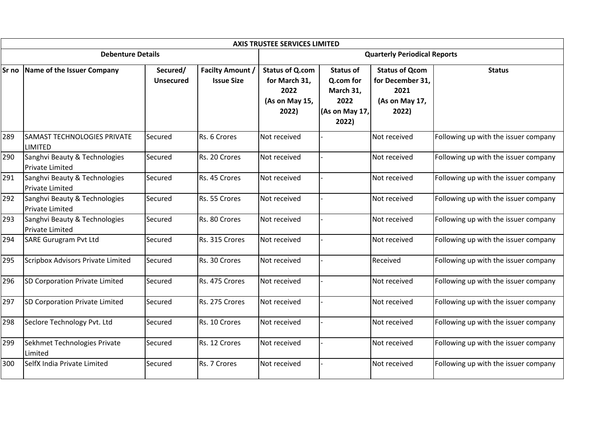|     | <b>AXIS TRUSTEE SERVICES LIMITED</b>                    |                              |                                              |                                                                            |                                                                               |                                                                              |                                      |  |  |
|-----|---------------------------------------------------------|------------------------------|----------------------------------------------|----------------------------------------------------------------------------|-------------------------------------------------------------------------------|------------------------------------------------------------------------------|--------------------------------------|--|--|
|     | <b>Debenture Details</b>                                |                              | <b>Quarterly Periodical Reports</b>          |                                                                            |                                                                               |                                                                              |                                      |  |  |
|     | Sr no Name of the Issuer Company                        | Secured/<br><b>Unsecured</b> | <b>Facilty Amount /</b><br><b>Issue Size</b> | <b>Status of Q.com</b><br>for March 31,<br>2022<br>(As on May 15,<br>2022) | <b>Status of</b><br>Q.com for<br>March 31,<br>2022<br>(As on May 17,<br>2022) | <b>Status of Qcom</b><br>for December 31,<br>2021<br>(As on May 17,<br>2022) | <b>Status</b>                        |  |  |
| 289 | <b>SAMAST TECHNOLOGIES PRIVATE</b><br><b>LIMITED</b>    | Secured                      | Rs. 6 Crores                                 | Not received                                                               |                                                                               | Not received                                                                 | Following up with the issuer company |  |  |
| 290 | Sanghvi Beauty & Technologies<br>Private Limited        | Secured                      | Rs. 20 Crores                                | Not received                                                               |                                                                               | Not received                                                                 | Following up with the issuer company |  |  |
| 291 | Sanghvi Beauty & Technologies<br><b>Private Limited</b> | Secured                      | Rs. 45 Crores                                | Not received                                                               |                                                                               | Not received                                                                 | Following up with the issuer company |  |  |
| 292 | Sanghvi Beauty & Technologies<br><b>Private Limited</b> | Secured                      | Rs. 55 Crores                                | Not received                                                               |                                                                               | Not received                                                                 | Following up with the issuer company |  |  |
| 293 | Sanghvi Beauty & Technologies<br>Private Limited        | Secured                      | Rs. 80 Crores                                | Not received                                                               |                                                                               | Not received                                                                 | Following up with the issuer company |  |  |
| 294 | <b>SARE Gurugram Pvt Ltd</b>                            | Secured                      | Rs. 315 Crores                               | Not received                                                               |                                                                               | Not received                                                                 | Following up with the issuer company |  |  |
| 295 | Scripbox Advisors Private Limited                       | Secured                      | Rs. 30 Crores                                | Not received                                                               |                                                                               | Received                                                                     | Following up with the issuer company |  |  |
| 296 | SD Corporation Private Limited                          | Secured                      | Rs. 475 Crores                               | Not received                                                               |                                                                               | Not received                                                                 | Following up with the issuer company |  |  |
| 297 | SD Corporation Private Limited                          | Secured                      | Rs. 275 Crores                               | Not received                                                               |                                                                               | Not received                                                                 | Following up with the issuer company |  |  |
| 298 | Seclore Technology Pvt. Ltd                             | Secured                      | Rs. 10 Crores                                | Not received                                                               |                                                                               | Not received                                                                 | Following up with the issuer company |  |  |
| 299 | Sekhmet Technologies Private<br>Limited                 | Secured                      | Rs. 12 Crores                                | Not received                                                               |                                                                               | Not received                                                                 | Following up with the issuer company |  |  |
| 300 | SelfX India Private Limited                             | Secured                      | Rs. 7 Crores                                 | Not received                                                               |                                                                               | Not received                                                                 | Following up with the issuer company |  |  |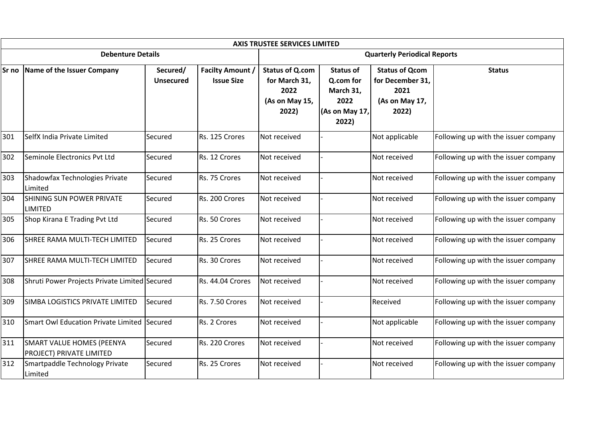|                          | <b>AXIS TRUSTEE SERVICES LIMITED</b>                         |                              |                                              |                                                                            |                                                                               |                                                                              |                                      |  |  |
|--------------------------|--------------------------------------------------------------|------------------------------|----------------------------------------------|----------------------------------------------------------------------------|-------------------------------------------------------------------------------|------------------------------------------------------------------------------|--------------------------------------|--|--|
| <b>Debenture Details</b> |                                                              |                              |                                              | <b>Quarterly Periodical Reports</b>                                        |                                                                               |                                                                              |                                      |  |  |
| <b>Sr</b> no             | Name of the Issuer Company                                   | Secured/<br><b>Unsecured</b> | <b>Facilty Amount /</b><br><b>Issue Size</b> | <b>Status of Q.com</b><br>for March 31,<br>2022<br>(As on May 15,<br>2022) | <b>Status of</b><br>Q.com for<br>March 31,<br>2022<br>(As on May 17,<br>2022) | <b>Status of Qcom</b><br>for December 31,<br>2021<br>(As on May 17,<br>2022) | <b>Status</b>                        |  |  |
| 301                      | SelfX India Private Limited                                  | Secured                      | Rs. 125 Crores                               | Not received                                                               |                                                                               | Not applicable                                                               | Following up with the issuer company |  |  |
| 302                      | Seminole Electronics Pvt Ltd                                 | Secured                      | Rs. 12 Crores                                | Not received                                                               |                                                                               | Not received                                                                 | Following up with the issuer company |  |  |
| 303                      | Shadowfax Technologies Private<br>Limited                    | Secured                      | Rs. 75 Crores                                | Not received                                                               |                                                                               | Not received                                                                 | Following up with the issuer company |  |  |
| 304                      | <b>SHINING SUN POWER PRIVATE</b><br><b>LIMITED</b>           | Secured                      | Rs. 200 Crores                               | Not received                                                               |                                                                               | Not received                                                                 | Following up with the issuer company |  |  |
| 305                      | Shop Kirana E Trading Pvt Ltd                                | Secured                      | Rs. 50 Crores                                | Not received                                                               |                                                                               | Not received                                                                 | Following up with the issuer company |  |  |
| 306                      | SHREE RAMA MULTI-TECH LIMITED                                | Secured                      | Rs. 25 Crores                                | Not received                                                               |                                                                               | Not received                                                                 | Following up with the issuer company |  |  |
| 307                      | SHREE RAMA MULTI-TECH LIMITED                                | Secured                      | Rs. 30 Crores                                | Not received                                                               |                                                                               | Not received                                                                 | Following up with the issuer company |  |  |
| 308                      | Shruti Power Projects Private Limited Secured                |                              | Rs. 44.04 Crores                             | Not received                                                               |                                                                               | Not received                                                                 | Following up with the issuer company |  |  |
| 309                      | SIMBA LOGISTICS PRIVATE LIMITED                              | Secured                      | Rs. 7.50 Crores                              | Not received                                                               |                                                                               | Received                                                                     | Following up with the issuer company |  |  |
| 310                      | Smart Owl Education Private Limited Secured                  |                              | Rs. 2 Crores                                 | Not received                                                               |                                                                               | Not applicable                                                               | Following up with the issuer company |  |  |
| 311                      | SMART VALUE HOMES (PEENYA<br><b>PROJECT) PRIVATE LIMITED</b> | Secured                      | Rs. 220 Crores                               | Not received                                                               |                                                                               | Not received                                                                 | Following up with the issuer company |  |  |
| 312                      | Smartpaddle Technology Private<br>Limited                    | Secured                      | Rs. 25 Crores                                | Not received                                                               |                                                                               | Not received                                                                 | Following up with the issuer company |  |  |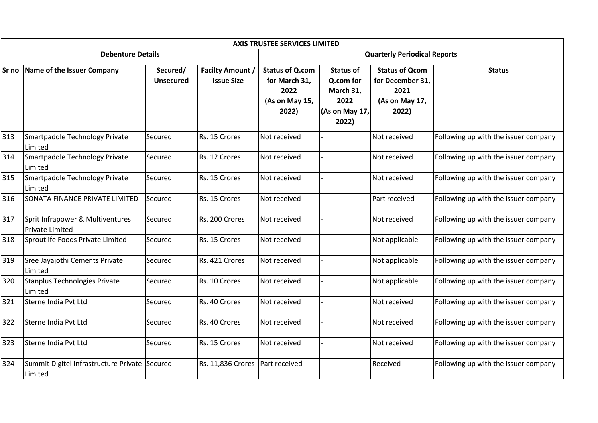|                          | <b>AXIS TRUSTEE SERVICES LIMITED</b>                     |                              |                                              |                                                                            |                                                                               |                                                                              |                                      |  |  |
|--------------------------|----------------------------------------------------------|------------------------------|----------------------------------------------|----------------------------------------------------------------------------|-------------------------------------------------------------------------------|------------------------------------------------------------------------------|--------------------------------------|--|--|
| <b>Debenture Details</b> |                                                          |                              |                                              | <b>Quarterly Periodical Reports</b>                                        |                                                                               |                                                                              |                                      |  |  |
|                          | Sr no Name of the Issuer Company                         | Secured/<br><b>Unsecured</b> | <b>Facilty Amount /</b><br><b>Issue Size</b> | <b>Status of Q.com</b><br>for March 31,<br>2022<br>(As on May 15,<br>2022) | <b>Status of</b><br>Q.com for<br>March 31,<br>2022<br>(As on May 17,<br>2022) | <b>Status of Qcom</b><br>for December 31,<br>2021<br>(As on May 17,<br>2022) | <b>Status</b>                        |  |  |
| 313                      | Smartpaddle Technology Private<br>Limited                | Secured                      | Rs. 15 Crores                                | Not received                                                               |                                                                               | Not received                                                                 | Following up with the issuer company |  |  |
| 314                      | Smartpaddle Technology Private<br>Limited                | Secured                      | Rs. 12 Crores                                | Not received                                                               |                                                                               | Not received                                                                 | Following up with the issuer company |  |  |
| 315                      | Smartpaddle Technology Private<br>Limited                | Secured                      | Rs. 15 Crores                                | Not received                                                               |                                                                               | Not received                                                                 | Following up with the issuer company |  |  |
| 316                      | SONATA FINANCE PRIVATE LIMITED                           | Secured                      | Rs. 15 Crores                                | Not received                                                               |                                                                               | Part received                                                                | Following up with the issuer company |  |  |
| 317                      | Sprit Infrapower & Multiventures<br>Private Limited      | Secured                      | Rs. 200 Crores                               | Not received                                                               |                                                                               | Not received                                                                 | Following up with the issuer company |  |  |
| 318                      | Sproutlife Foods Private Limited                         | Secured                      | Rs. 15 Crores                                | Not received                                                               |                                                                               | Not applicable                                                               | Following up with the issuer company |  |  |
| 319                      | Sree Jayajothi Cements Private<br>Limited                | Secured                      | Rs. 421 Crores                               | Not received                                                               |                                                                               | Not applicable                                                               | Following up with the issuer company |  |  |
| 320                      | Stanplus Technologies Private<br>Limited                 | Secured                      | Rs. 10 Crores                                | Not received                                                               |                                                                               | Not applicable                                                               | Following up with the issuer company |  |  |
| 321                      | Sterne India Pvt Ltd                                     | Secured                      | Rs. 40 Crores                                | Not received                                                               |                                                                               | Not received                                                                 | Following up with the issuer company |  |  |
| 322                      | Sterne India Pvt Ltd                                     | Secured                      | Rs. 40 Crores                                | Not received                                                               |                                                                               | Not received                                                                 | Following up with the issuer company |  |  |
| 323                      | Sterne India Pvt Ltd                                     | Secured                      | Rs. 15 Crores                                | Not received                                                               |                                                                               | Not received                                                                 | Following up with the issuer company |  |  |
| 324                      | Summit Digitel Infrastructure Private Secured<br>Limited |                              | Rs. 11,836 Crores                            | Part received                                                              |                                                                               | Received                                                                     | Following up with the issuer company |  |  |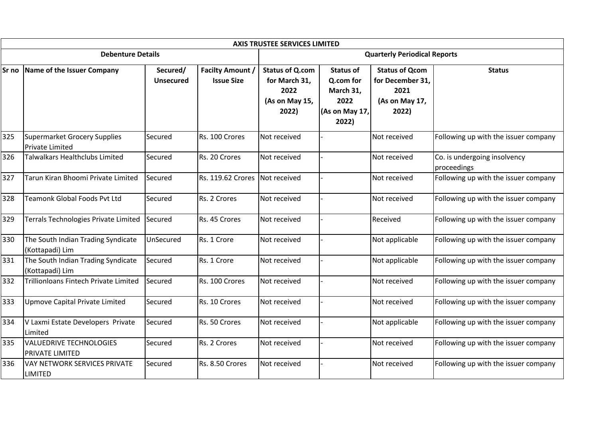|                          | <b>AXIS TRUSTEE SERVICES LIMITED</b>                     |                              |                                              |                                                                            |                                                                               |                                                                              |                                             |  |  |
|--------------------------|----------------------------------------------------------|------------------------------|----------------------------------------------|----------------------------------------------------------------------------|-------------------------------------------------------------------------------|------------------------------------------------------------------------------|---------------------------------------------|--|--|
| <b>Debenture Details</b> |                                                          |                              |                                              | <b>Quarterly Periodical Reports</b>                                        |                                                                               |                                                                              |                                             |  |  |
|                          | Sr no Name of the Issuer Company                         | Secured/<br><b>Unsecured</b> | <b>Facilty Amount /</b><br><b>Issue Size</b> | <b>Status of Q.com</b><br>for March 31,<br>2022<br>(As on May 15,<br>2022) | <b>Status of</b><br>Q.com for<br>March 31,<br>2022<br>(As on May 17,<br>2022) | <b>Status of Qcom</b><br>for December 31,<br>2021<br>(As on May 17,<br>2022) | <b>Status</b>                               |  |  |
| 325                      | Supermarket Grocery Supplies<br><b>Private Limited</b>   | Secured                      | Rs. 100 Crores                               | Not received                                                               |                                                                               | Not received                                                                 | Following up with the issuer company        |  |  |
| 326                      | Talwalkars Healthclubs Limited                           | Secured                      | Rs. 20 Crores                                | Not received                                                               |                                                                               | Not received                                                                 | Co. is undergoing insolvency<br>proceedings |  |  |
| 327                      | Tarun Kiran Bhoomi Private Limited                       | Secured                      | Rs. 119.62 Crores                            | Not received                                                               |                                                                               | Not received                                                                 | Following up with the issuer company        |  |  |
| 328                      | <b>Teamonk Global Foods Pvt Ltd</b>                      | Secured                      | Rs. 2 Crores                                 | Not received                                                               |                                                                               | Not received                                                                 | Following up with the issuer company        |  |  |
| 329                      | Terrals Technologies Private Limited                     | Secured                      | Rs. 45 Crores                                | Not received                                                               |                                                                               | Received                                                                     | Following up with the issuer company        |  |  |
| 330                      | The South Indian Trading Syndicate<br>(Kottapadi) Lim    | UnSecured                    | Rs. 1 Crore                                  | Not received                                                               |                                                                               | Not applicable                                                               | Following up with the issuer company        |  |  |
| 331                      | The South Indian Trading Syndicate<br>(Kottapadi) Lim    | Secured                      | Rs. 1 Crore                                  | Not received                                                               |                                                                               | Not applicable                                                               | Following up with the issuer company        |  |  |
| 332                      | Trillionloans Fintech Private Limited                    | Secured                      | Rs. 100 Crores                               | Not received                                                               |                                                                               | Not received                                                                 | Following up with the issuer company        |  |  |
| 333                      | Upmove Capital Private Limited                           | Secured                      | Rs. 10 Crores                                | Not received                                                               |                                                                               | Not received                                                                 | Following up with the issuer company        |  |  |
| 334                      | V Laxmi Estate Developers Private<br>Limited             | Secured                      | Rs. 50 Crores                                | Not received                                                               |                                                                               | Not applicable                                                               | Following up with the issuer company        |  |  |
| 335                      | <b>VALUEDRIVE TECHNOLOGIES</b><br><b>PRIVATE LIMITED</b> | Secured                      | Rs. 2 Crores                                 | Not received                                                               |                                                                               | Not received                                                                 | Following up with the issuer company        |  |  |
| 336                      | <b>VAY NETWORK SERVICES PRIVATE</b><br><b>LIMITED</b>    | Secured                      | Rs. 8.50 Crores                              | Not received                                                               |                                                                               | Not received                                                                 | Following up with the issuer company        |  |  |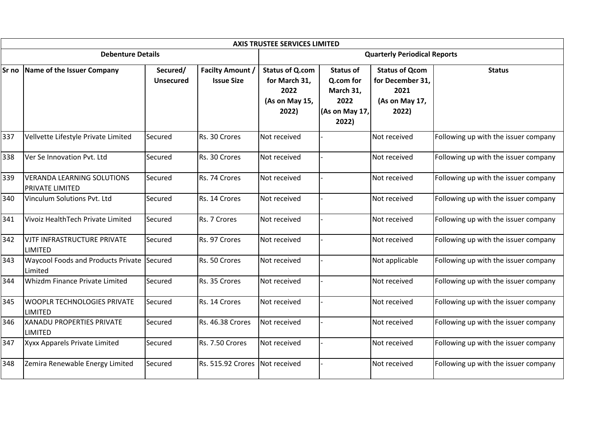|                          | <b>AXIS TRUSTEE SERVICES LIMITED</b>                  |                              |                                              |                                                                            |                                                                               |                                                                              |                                      |  |  |
|--------------------------|-------------------------------------------------------|------------------------------|----------------------------------------------|----------------------------------------------------------------------------|-------------------------------------------------------------------------------|------------------------------------------------------------------------------|--------------------------------------|--|--|
| <b>Debenture Details</b> |                                                       |                              |                                              | <b>Quarterly Periodical Reports</b>                                        |                                                                               |                                                                              |                                      |  |  |
| Sr no                    | Name of the Issuer Company                            | Secured/<br><b>Unsecured</b> | <b>Facilty Amount /</b><br><b>Issue Size</b> | <b>Status of Q.com</b><br>for March 31,<br>2022<br>(As on May 15,<br>2022) | <b>Status of</b><br>Q.com for<br>March 31,<br>2022<br>(As on May 17,<br>2022) | <b>Status of Qcom</b><br>for December 31,<br>2021<br>(As on May 17,<br>2022) | <b>Status</b>                        |  |  |
| 337                      | Vellvette Lifestyle Private Limited                   | Secured                      | Rs. 30 Crores                                | Not received                                                               |                                                                               | Not received                                                                 | Following up with the issuer company |  |  |
| 338                      | Ver Se Innovation Pvt. Ltd                            | Secured                      | Rs. 30 Crores                                | Not received                                                               |                                                                               | Not received                                                                 | Following up with the issuer company |  |  |
| 339                      | <b>VERANDA LEARNING SOLUTIONS</b><br>PRIVATE LIMITED  | Secured                      | Rs. 74 Crores                                | Not received                                                               |                                                                               | Not received                                                                 | Following up with the issuer company |  |  |
| 340                      | Vinculum Solutions Pvt. Ltd                           | Secured                      | Rs. 14 Crores                                | Not received                                                               |                                                                               | Not received                                                                 | Following up with the issuer company |  |  |
| 341                      | Vivoiz HealthTech Private Limited                     | Secured                      | Rs. 7 Crores                                 | Not received                                                               |                                                                               | Not received                                                                 | Following up with the issuer company |  |  |
| 342                      | VJTF INFRASTRUCTURE PRIVATE<br><b>LIMITED</b>         | Secured                      | Rs. 97 Crores                                | Not received                                                               |                                                                               | Not received                                                                 | Following up with the issuer company |  |  |
| 343                      | Waycool Foods and Products Private Secured<br>Limited |                              | Rs. 50 Crores                                | Not received                                                               |                                                                               | Not applicable                                                               | Following up with the issuer company |  |  |
| 344                      | Whizdm Finance Private Limited                        | Secured                      | Rs. 35 Crores                                | Not received                                                               |                                                                               | Not received                                                                 | Following up with the issuer company |  |  |
| 345                      | <b>WOOPLR TECHNOLOGIES PRIVATE</b><br>LIMITED         | Secured                      | Rs. 14 Crores                                | Not received                                                               |                                                                               | Not received                                                                 | Following up with the issuer company |  |  |
| 346                      | <b>XANADU PROPERTIES PRIVATE</b><br><b>LIMITED</b>    | Secured                      | Rs. 46.38 Crores                             | Not received                                                               |                                                                               | Not received                                                                 | Following up with the issuer company |  |  |
| 347                      | Xyxx Apparels Private Limited                         | Secured                      | Rs. 7.50 Crores                              | Not received                                                               |                                                                               | Not received                                                                 | Following up with the issuer company |  |  |
| 348                      | Zemira Renewable Energy Limited                       | Secured                      | Rs. 515.92 Crores                            | Not received                                                               |                                                                               | Not received                                                                 | Following up with the issuer company |  |  |